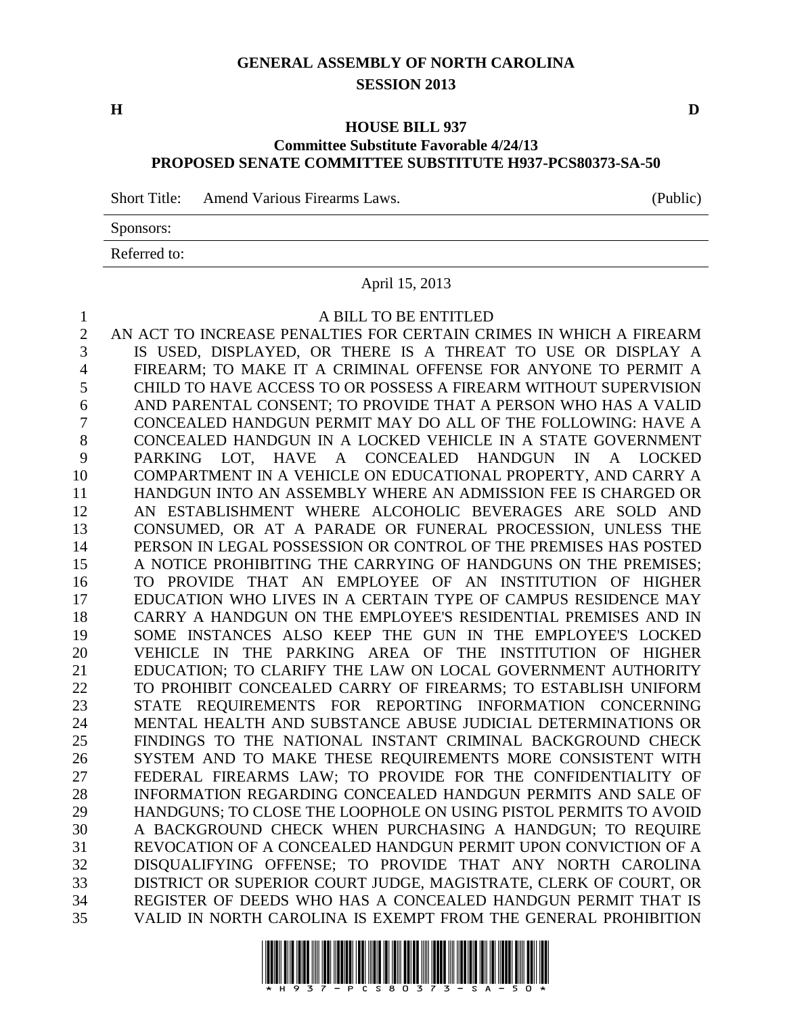## **GENERAL ASSEMBLY OF NORTH CAROLINA SESSION 2013**

#### **HOUSE BILL 937 Committee Substitute Favorable 4/24/13 PROPOSED SENATE COMMITTEE SUBSTITUTE H937-PCS80373-SA-50**

Short Title: Amend Various Firearms Laws. (Public)

Sponsors:

Referred to:

#### April 15, 2013

#### A BILL TO BE ENTITLED

 AN ACT TO INCREASE PENALTIES FOR CERTAIN CRIMES IN WHICH A FIREARM IS USED, DISPLAYED, OR THERE IS A THREAT TO USE OR DISPLAY A FIREARM; TO MAKE IT A CRIMINAL OFFENSE FOR ANYONE TO PERMIT A CHILD TO HAVE ACCESS TO OR POSSESS A FIREARM WITHOUT SUPERVISION AND PARENTAL CONSENT; TO PROVIDE THAT A PERSON WHO HAS A VALID CONCEALED HANDGUN PERMIT MAY DO ALL OF THE FOLLOWING: HAVE A CONCEALED HANDGUN IN A LOCKED VEHICLE IN A STATE GOVERNMENT PARKING LOT, HAVE A CONCEALED HANDGUN IN A LOCKED COMPARTMENT IN A VEHICLE ON EDUCATIONAL PROPERTY, AND CARRY A HANDGUN INTO AN ASSEMBLY WHERE AN ADMISSION FEE IS CHARGED OR AN ESTABLISHMENT WHERE ALCOHOLIC BEVERAGES ARE SOLD AND CONSUMED, OR AT A PARADE OR FUNERAL PROCESSION, UNLESS THE PERSON IN LEGAL POSSESSION OR CONTROL OF THE PREMISES HAS POSTED 15 A NOTICE PROHIBITING THE CARRYING OF HANDGUNS ON THE PREMISES; TO PROVIDE THAT AN EMPLOYEE OF AN INSTITUTION OF HIGHER EDUCATION WHO LIVES IN A CERTAIN TYPE OF CAMPUS RESIDENCE MAY CARRY A HANDGUN ON THE EMPLOYEE'S RESIDENTIAL PREMISES AND IN SOME INSTANCES ALSO KEEP THE GUN IN THE EMPLOYEE'S LOCKED VEHICLE IN THE PARKING AREA OF THE INSTITUTION OF HIGHER EDUCATION; TO CLARIFY THE LAW ON LOCAL GOVERNMENT AUTHORITY TO PROHIBIT CONCEALED CARRY OF FIREARMS; TO ESTABLISH UNIFORM STATE REQUIREMENTS FOR REPORTING INFORMATION CONCERNING MENTAL HEALTH AND SUBSTANCE ABUSE JUDICIAL DETERMINATIONS OR FINDINGS TO THE NATIONAL INSTANT CRIMINAL BACKGROUND CHECK SYSTEM AND TO MAKE THESE REQUIREMENTS MORE CONSISTENT WITH FEDERAL FIREARMS LAW; TO PROVIDE FOR THE CONFIDENTIALITY OF INFORMATION REGARDING CONCEALED HANDGUN PERMITS AND SALE OF HANDGUNS; TO CLOSE THE LOOPHOLE ON USING PISTOL PERMITS TO AVOID A BACKGROUND CHECK WHEN PURCHASING A HANDGUN; TO REQUIRE REVOCATION OF A CONCEALED HANDGUN PERMIT UPON CONVICTION OF A DISQUALIFYING OFFENSE; TO PROVIDE THAT ANY NORTH CAROLINA DISTRICT OR SUPERIOR COURT JUDGE, MAGISTRATE, CLERK OF COURT, OR REGISTER OF DEEDS WHO HAS A CONCEALED HANDGUN PERMIT THAT IS VALID IN NORTH CAROLINA IS EXEMPT FROM THE GENERAL PROHIBITION



**H D**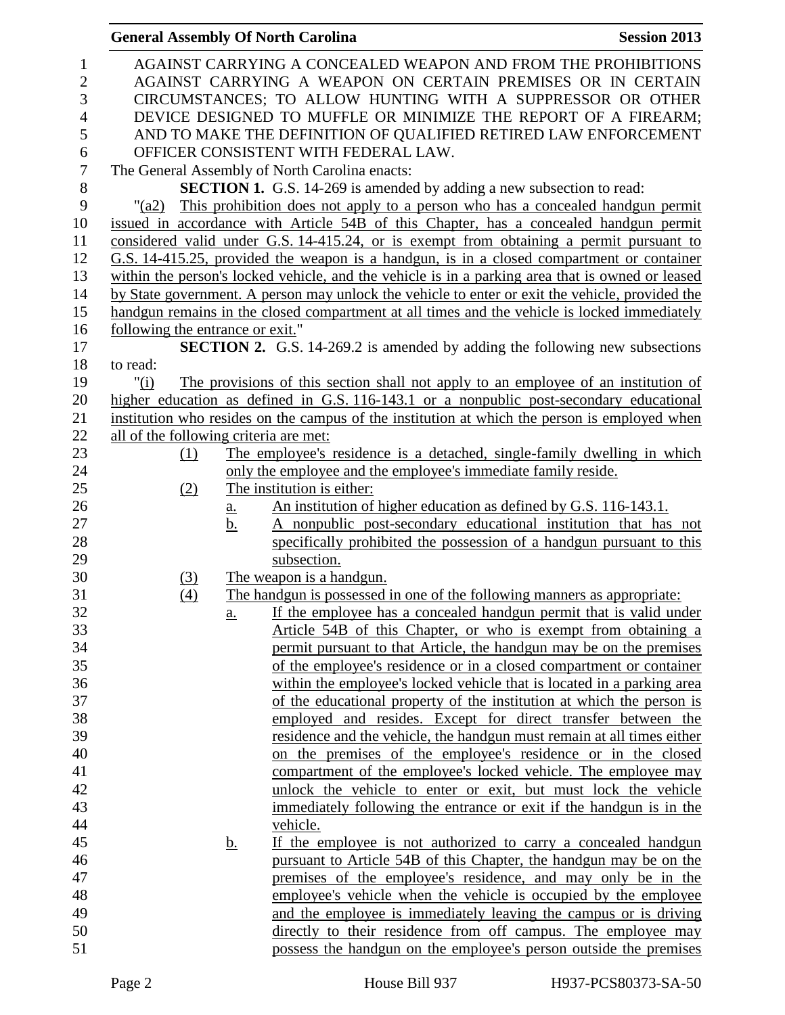|                  | <b>General Assembly Of North Carolina</b> |                   |                                                                                                  | <b>Session 2013</b> |
|------------------|-------------------------------------------|-------------------|--------------------------------------------------------------------------------------------------|---------------------|
| $\mathbf{1}$     |                                           |                   | AGAINST CARRYING A CONCEALED WEAPON AND FROM THE PROHIBITIONS                                    |                     |
| $\mathbf{2}$     |                                           |                   | AGAINST CARRYING A WEAPON ON CERTAIN PREMISES OR IN CERTAIN                                      |                     |
| 3                |                                           |                   | CIRCUMSTANCES; TO ALLOW HUNTING WITH A SUPPRESSOR OR OTHER                                       |                     |
| $\overline{4}$   |                                           |                   | DEVICE DESIGNED TO MUFFLE OR MINIMIZE THE REPORT OF A FIREARM;                                   |                     |
| 5                |                                           |                   | AND TO MAKE THE DEFINITION OF QUALIFIED RETIRED LAW ENFORCEMENT                                  |                     |
| 6                |                                           |                   | OFFICER CONSISTENT WITH FEDERAL LAW.                                                             |                     |
| $\boldsymbol{7}$ |                                           |                   | The General Assembly of North Carolina enacts:                                                   |                     |
| $\,8\,$          |                                           |                   | <b>SECTION 1.</b> G.S. 14-269 is amended by adding a new subsection to read:                     |                     |
| 9                | $"$ (a2)                                  |                   | This prohibition does not apply to a person who has a concealed handgun permit                   |                     |
| 10               |                                           |                   | issued in accordance with Article 54B of this Chapter, has a concealed handgun permit            |                     |
| 11               |                                           |                   | considered valid under G.S. 14-415.24, or is exempt from obtaining a permit pursuant to          |                     |
| 12               |                                           |                   | G.S. 14-415.25, provided the weapon is a handgun, is in a closed compartment or container        |                     |
| 13               |                                           |                   | within the person's locked vehicle, and the vehicle is in a parking area that is owned or leased |                     |
| 14               |                                           |                   | by State government. A person may unlock the vehicle to enter or exit the vehicle, provided the  |                     |
| 15               |                                           |                   | handgun remains in the closed compartment at all times and the vehicle is locked immediately     |                     |
| 16               | <u>following the entrance or exit."</u>   |                   |                                                                                                  |                     |
| 17               |                                           |                   | <b>SECTION 2.</b> G.S. 14-269.2 is amended by adding the following new subsections               |                     |
| 18               | to read:                                  |                   |                                                                                                  |                     |
| 19               | " $(i)$                                   |                   | The provisions of this section shall not apply to an employee of an institution of               |                     |
| 20               |                                           |                   | higher education as defined in G.S. 116-143.1 or a nonpublic post-secondary educational          |                     |
| 21               |                                           |                   | institution who resides on the campus of the institution at which the person is employed when    |                     |
| 22               | all of the following criteria are met:    |                   |                                                                                                  |                     |
| 23               | (1)                                       |                   | The employee's residence is a detached, single-family dwelling in which                          |                     |
| 24               |                                           |                   | only the employee and the employee's immediate family reside.                                    |                     |
| 25               | (2)                                       |                   | The institution is either:                                                                       |                     |
| 26               |                                           | $\underline{a}$ . | An institution of higher education as defined by G.S. 116-143.1.                                 |                     |
| 27               |                                           | b.                | A nonpublic post-secondary educational institution that has not                                  |                     |
| 28               |                                           |                   | specifically prohibited the possession of a handgun pursuant to this                             |                     |
| 29               |                                           |                   | subsection.                                                                                      |                     |
| 30               | <u>(3)</u>                                |                   | The weapon is a handgun.                                                                         |                     |
| 31               | (4)                                       |                   | The handgun is possessed in one of the following manners as appropriate:                         |                     |
| 32               |                                           | $\underline{a}$ . | If the employee has a concealed handgun permit that is valid under                               |                     |
| 33               |                                           |                   | Article 54B of this Chapter, or who is exempt from obtaining a                                   |                     |
| 34               |                                           |                   | permit pursuant to that Article, the handgun may be on the premises                              |                     |
| 35               |                                           |                   | of the employee's residence or in a closed compartment or container                              |                     |
| 36               |                                           |                   | within the employee's locked vehicle that is located in a parking area                           |                     |
| 37               |                                           |                   | of the educational property of the institution at which the person is                            |                     |
| 38               |                                           |                   | employed and resides. Except for direct transfer between the                                     |                     |
| 39               |                                           |                   | residence and the vehicle, the handgun must remain at all times either                           |                     |
| 40               |                                           |                   | on the premises of the employee's residence or in the closed                                     |                     |
| 41               |                                           |                   | compartment of the employee's locked vehicle. The employee may                                   |                     |
| 42               |                                           |                   | unlock the vehicle to enter or exit, but must lock the vehicle                                   |                     |
| 43               |                                           |                   | immediately following the entrance or exit if the handgun is in the                              |                     |
| 44               |                                           |                   | vehicle.                                                                                         |                     |
| 45               |                                           | <u>b.</u>         | If the employee is not authorized to carry a concealed handgun                                   |                     |
| 46               |                                           |                   | pursuant to Article 54B of this Chapter, the handgun may be on the                               |                     |
| 47               |                                           |                   | premises of the employee's residence, and may only be in the                                     |                     |
| 48               |                                           |                   | employee's vehicle when the vehicle is occupied by the employee                                  |                     |
| 49               |                                           |                   | and the employee is immediately leaving the campus or is driving                                 |                     |
| 50               |                                           |                   | directly to their residence from off campus. The employee may                                    |                     |
| 51               |                                           |                   | possess the handgun on the employee's person outside the premises                                |                     |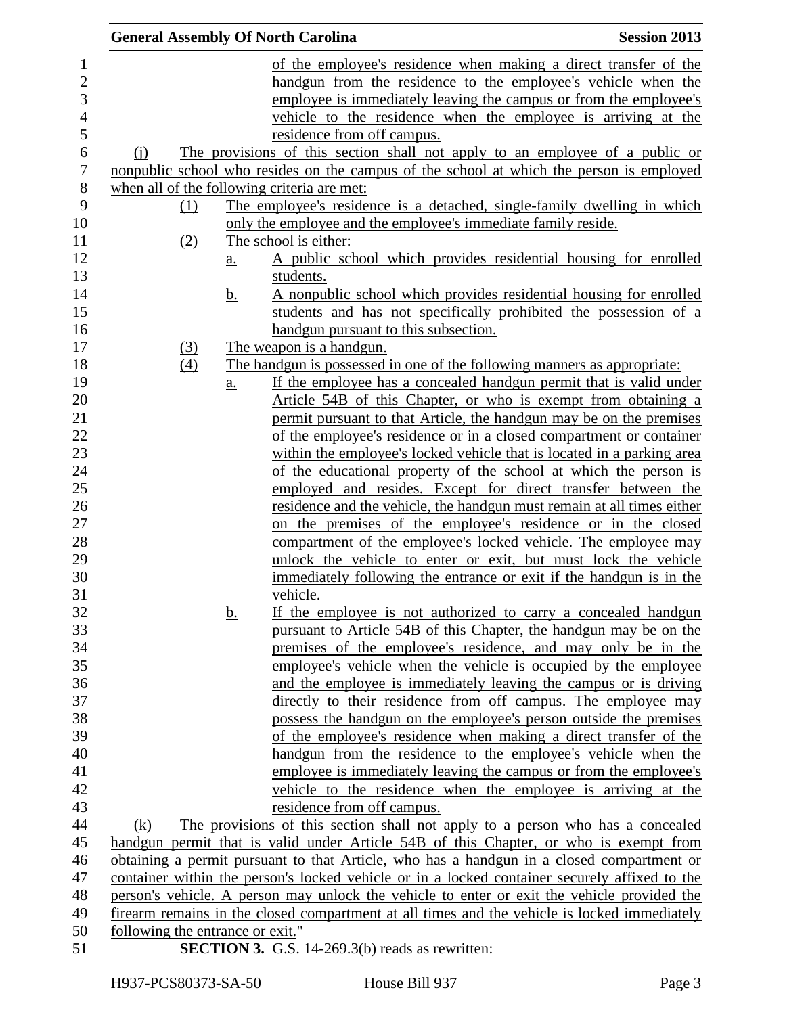| <b>General Assembly Of North Carolina</b> |           |                                                                                                                                                                                              | <b>Session 2013</b> |
|-------------------------------------------|-----------|----------------------------------------------------------------------------------------------------------------------------------------------------------------------------------------------|---------------------|
|                                           |           | of the employee's residence when making a direct transfer of the                                                                                                                             |                     |
|                                           |           | handgun from the residence to the employee's vehicle when the                                                                                                                                |                     |
|                                           |           | employee is immediately leaving the campus or from the employee's                                                                                                                            |                     |
|                                           |           | vehicle to the residence when the employee is arriving at the                                                                                                                                |                     |
|                                           |           | residence from off campus.                                                                                                                                                                   |                     |
| $\Omega$                                  |           | The provisions of this section shall not apply to an employee of a public or                                                                                                                 |                     |
|                                           |           | nonpublic school who resides on the campus of the school at which the person is employed                                                                                                     |                     |
|                                           |           | when all of the following criteria are met:                                                                                                                                                  |                     |
| (1)                                       |           | The employee's residence is a detached, single-family dwelling in which                                                                                                                      |                     |
|                                           |           | only the employee and the employee's immediate family reside.                                                                                                                                |                     |
| (2)                                       |           | The school is either:                                                                                                                                                                        |                     |
|                                           | <u>a.</u> | A public school which provides residential housing for enrolled                                                                                                                              |                     |
|                                           |           | students.                                                                                                                                                                                    |                     |
|                                           | <u>b.</u> | A nonpublic school which provides residential housing for enrolled                                                                                                                           |                     |
|                                           |           | students and has not specifically prohibited the possession of a                                                                                                                             |                     |
|                                           |           | handgun pursuant to this subsection.                                                                                                                                                         |                     |
| $\left(3\right)$                          |           | The weapon is a handgun.                                                                                                                                                                     |                     |
| (4)                                       |           | The handgun is possessed in one of the following manners as appropriate:                                                                                                                     |                     |
|                                           | a.        | If the employee has a concealed handgun permit that is valid under                                                                                                                           |                     |
|                                           |           | Article 54B of this Chapter, or who is exempt from obtaining a                                                                                                                               |                     |
|                                           |           | permit pursuant to that Article, the handgun may be on the premises                                                                                                                          |                     |
|                                           |           | of the employee's residence or in a closed compartment or container                                                                                                                          |                     |
|                                           |           | within the employee's locked vehicle that is located in a parking area                                                                                                                       |                     |
|                                           |           | of the educational property of the school at which the person is                                                                                                                             |                     |
|                                           |           | employed and resides. Except for direct transfer between the                                                                                                                                 |                     |
|                                           |           | residence and the vehicle, the handgun must remain at all times either                                                                                                                       |                     |
|                                           |           | on the premises of the employee's residence or in the closed                                                                                                                                 |                     |
|                                           |           | compartment of the employee's locked vehicle. The employee may                                                                                                                               |                     |
|                                           |           | unlock the vehicle to enter or exit, but must lock the vehicle                                                                                                                               |                     |
|                                           |           | immediately following the entrance or exit if the handgun is in the                                                                                                                          |                     |
|                                           |           | vehicle.                                                                                                                                                                                     |                     |
|                                           | <u>b.</u> | If the employee is not authorized to carry a concealed handgun                                                                                                                               |                     |
|                                           |           | pursuant to Article 54B of this Chapter, the handgun may be on the                                                                                                                           |                     |
|                                           |           | premises of the employee's residence, and may only be in the                                                                                                                                 |                     |
|                                           |           | employee's vehicle when the vehicle is occupied by the employee                                                                                                                              |                     |
|                                           |           | and the employee is immediately leaving the campus or is driving                                                                                                                             |                     |
|                                           |           | directly to their residence from off campus. The employee may                                                                                                                                |                     |
|                                           |           | possess the handgun on the employee's person outside the premises                                                                                                                            |                     |
|                                           |           | of the employee's residence when making a direct transfer of the                                                                                                                             |                     |
|                                           |           | handgun from the residence to the employee's vehicle when the                                                                                                                                |                     |
|                                           |           | employee is immediately leaving the campus or from the employee's                                                                                                                            |                     |
|                                           |           | vehicle to the residence when the employee is arriving at the                                                                                                                                |                     |
|                                           |           | residence from off campus.                                                                                                                                                                   |                     |
| (k)                                       |           | The provisions of this section shall not apply to a person who has a concealed                                                                                                               |                     |
|                                           |           | handgun permit that is valid under Article 54B of this Chapter, or who is exempt from                                                                                                        |                     |
|                                           |           | obtaining a permit pursuant to that Article, who has a handgun in a closed compartment or                                                                                                    |                     |
|                                           |           | container within the person's locked vehicle or in a locked container securely affixed to the<br>person's vehicle. A person may unlock the vehicle to enter or exit the vehicle provided the |                     |
|                                           |           | firearm remains in the closed compartment at all times and the vehicle is locked immediately                                                                                                 |                     |
| following the entrance or exit."          |           |                                                                                                                                                                                              |                     |
|                                           |           | <b>SECTION 3.</b> G.S. 14-269.3(b) reads as rewritten:                                                                                                                                       |                     |
|                                           |           |                                                                                                                                                                                              |                     |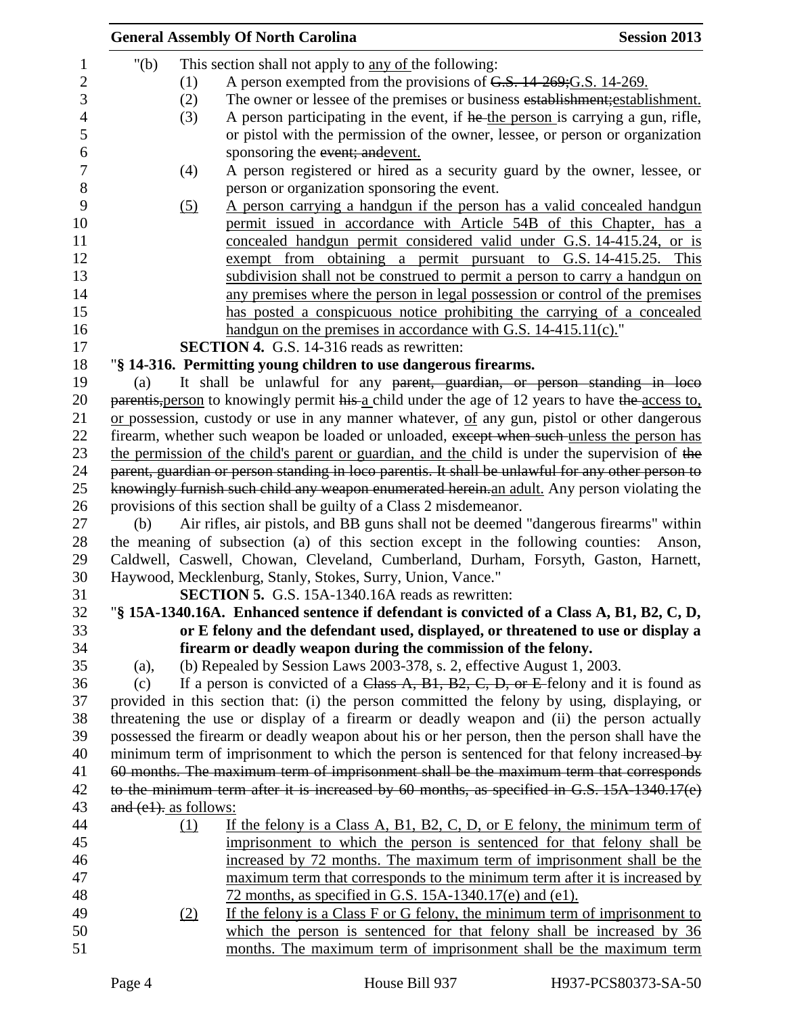|                          | <b>General Assembly Of North Carolina</b>                                                          | <b>Session 2013</b> |
|--------------------------|----------------------------------------------------------------------------------------------------|---------------------|
| " $(b)$                  | This section shall not apply to <u>any of</u> the following:                                       |                     |
| (1)                      | A person exempted from the provisions of G.S. 14-269; G.S. 14-269.                                 |                     |
| (2)                      | The owner or lessee of the premises or business establishment; establishment.                      |                     |
| (3)                      | A person participating in the event, if he the person is carrying a gun, rifle,                    |                     |
|                          | or pistol with the permission of the owner, lessee, or person or organization                      |                     |
|                          | sponsoring the event; and event.                                                                   |                     |
| (4)                      | A person registered or hired as a security guard by the owner, lessee, or                          |                     |
|                          | person or organization sponsoring the event.                                                       |                     |
| (5)                      | A person carrying a handgun if the person has a valid concealed handgun                            |                     |
|                          | permit issued in accordance with Article 54B of this Chapter, has a                                |                     |
|                          | concealed handgun permit considered valid under G.S. 14-415.24, or is                              |                     |
|                          | exempt from obtaining a permit pursuant to G.S. 14-415.25. This                                    |                     |
|                          | subdivision shall not be construed to permit a person to carry a handgun on                        |                     |
|                          | any premises where the person in legal possession or control of the premises                       |                     |
|                          | has posted a conspicuous notice prohibiting the carrying of a concealed                            |                     |
|                          | handgun on the premises in accordance with G.S. 14-415.11(c)."                                     |                     |
|                          | <b>SECTION 4.</b> G.S. 14-316 reads as rewritten:                                                  |                     |
|                          | "§ 14-316. Permitting young children to use dangerous firearms.                                    |                     |
| (a)                      | It shall be unlawful for any parent, guardian, or person standing in loco                          |                     |
|                          | parentis, person to knowingly permit his a child under the age of 12 years to have the access to,  |                     |
|                          | or possession, custody or use in any manner whatever, of any gun, pistol or other dangerous        |                     |
|                          | firearm, whether such weapon be loaded or unloaded, except when such unless the person has         |                     |
|                          | the permission of the child's parent or guardian, and the child is under the supervision of the    |                     |
|                          | parent, guardian or person standing in loco parentis. It shall be unlawful for any other person to |                     |
|                          | knowingly furnish such child any weapon enumerated herein an adult. Any person violating the       |                     |
|                          | provisions of this section shall be guilty of a Class 2 misdemeanor.                               |                     |
| (b)                      | Air rifles, air pistols, and BB guns shall not be deemed "dangerous firearms" within               |                     |
|                          | the meaning of subsection (a) of this section except in the following counties: Anson,             |                     |
|                          | Caldwell, Caswell, Chowan, Cleveland, Cumberland, Durham, Forsyth, Gaston, Harnett,                |                     |
|                          | Haywood, Mecklenburg, Stanly, Stokes, Surry, Union, Vance."                                        |                     |
|                          | <b>SECTION 5.</b> G.S. 15A-1340.16A reads as rewritten:                                            |                     |
|                          | "§ 15A-1340.16A. Enhanced sentence if defendant is convicted of a Class A, B1, B2, C, D,           |                     |
|                          | or E felony and the defendant used, displayed, or threatened to use or display a                   |                     |
|                          | firearm or deadly weapon during the commission of the felony.                                      |                     |
| (a),                     | (b) Repealed by Session Laws 2003-378, s. 2, effective August 1, 2003.                             |                     |
| (c)                      | If a person is convicted of a Class A, B1, B2, C, D, or E felony and it is found as                |                     |
|                          | provided in this section that: (i) the person committed the felony by using, displaying, or        |                     |
|                          | threatening the use or display of a firearm or deadly weapon and (ii) the person actually          |                     |
|                          | possessed the firearm or deadly weapon about his or her person, then the person shall have the     |                     |
|                          | minimum term of imprisonment to which the person is sentenced for that felony increased-by         |                     |
|                          | 60 months. The maximum term of imprisonment shall be the maximum term that corresponds             |                     |
|                          | to the minimum term after it is increased by 60 months, as specified in G.S. 15A-1340.17(e)        |                     |
| $and (e1)$ , as follows: |                                                                                                    |                     |
| (1)                      | If the felony is a Class A, B1, B2, C, D, or E felony, the minimum term of                         |                     |
|                          | imprisonment to which the person is sentenced for that felony shall be                             |                     |
|                          | increased by 72 months. The maximum term of imprisonment shall be the                              |                     |
|                          | maximum term that corresponds to the minimum term after it is increased by                         |                     |
|                          | 72 months, as specified in G.S. $15A-1340.17(e)$ and $(e1)$ .                                      |                     |
| (2)                      | If the felony is a Class F or G felony, the minimum term of imprisonment to                        |                     |
|                          |                                                                                                    |                     |
|                          | which the person is sentenced for that felony shall be increased by 36                             |                     |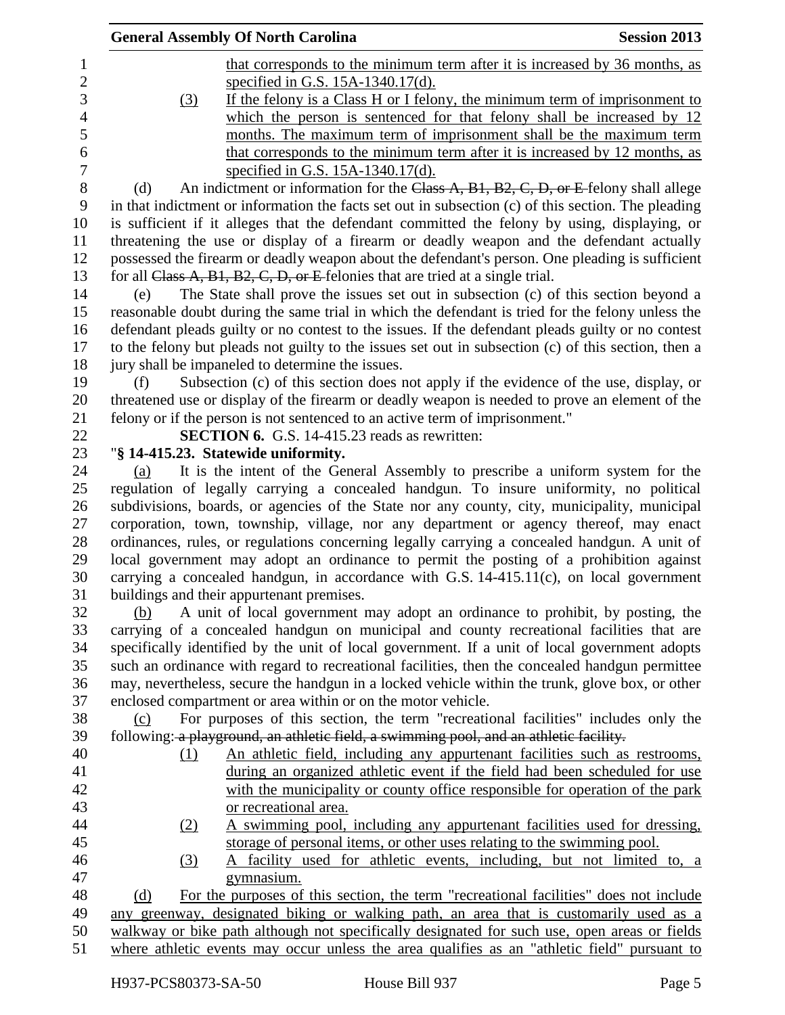|            | <b>General Assembly Of North Carolina</b>                                                           | <b>Session 2013</b> |
|------------|-----------------------------------------------------------------------------------------------------|---------------------|
|            | that corresponds to the minimum term after it is increased by 36 months, as                         |                     |
|            | specified in G.S. 15A-1340.17(d).                                                                   |                     |
| <u>(3)</u> | If the felony is a Class H or I felony, the minimum term of imprisonment to                         |                     |
|            | which the person is sentenced for that felony shall be increased by $12$                            |                     |
|            | months. The maximum term of imprisonment shall be the maximum term                                  |                     |
|            | that corresponds to the minimum term after it is increased by 12 months, as                         |                     |
|            | specified in G.S. 15A-1340.17(d).                                                                   |                     |
| (d)        | An indictment or information for the Class A, B1, B2, C, D, or E felony shall allege                |                     |
|            | in that indictment or information the facts set out in subsection (c) of this section. The pleading |                     |
|            | is sufficient if it alleges that the defendant committed the felony by using, displaying, or        |                     |
|            | threatening the use or display of a firearm or deadly weapon and the defendant actually             |                     |
|            | possessed the firearm or deadly weapon about the defendant's person. One pleading is sufficient     |                     |
|            | for all Class $A$ , B1, B2, C, D, or E felonies that are tried at a single trial.                   |                     |
| (e)        | The State shall prove the issues set out in subsection (c) of this section beyond a                 |                     |
|            | reasonable doubt during the same trial in which the defendant is tried for the felony unless the    |                     |
|            | defendant pleads guilty or no contest to the issues. If the defendant pleads guilty or no contest   |                     |
|            | to the felony but pleads not guilty to the issues set out in subsection (c) of this section, then a |                     |
|            | jury shall be impaneled to determine the issues.                                                    |                     |
| (f)        | Subsection (c) of this section does not apply if the evidence of the use, display, or               |                     |
|            | threatened use or display of the firearm or deadly weapon is needed to prove an element of the      |                     |
|            | felony or if the person is not sentenced to an active term of imprisonment."                        |                     |
|            | <b>SECTION 6.</b> G.S. 14-415.23 reads as rewritten:                                                |                     |
|            | "§ 14-415.23. Statewide uniformity.                                                                 |                     |
| (a)        | It is the intent of the General Assembly to prescribe a uniform system for the                      |                     |
|            | regulation of legally carrying a concealed handgun. To insure uniformity, no political              |                     |
|            | subdivisions, boards, or agencies of the State nor any county, city, municipality, municipal        |                     |
|            | corporation, town, township, village, nor any department or agency thereof, may enact               |                     |
|            | ordinances, rules, or regulations concerning legally carrying a concealed handgun. A unit of        |                     |
|            | local government may adopt an ordinance to permit the posting of a prohibition against              |                     |
|            | carrying a concealed handgun, in accordance with G.S. $14-415.11(c)$ , on local government          |                     |
|            | buildings and their appurtenant premises.                                                           |                     |
| (b)        | A unit of local government may adopt an ordinance to prohibit, by posting, the                      |                     |
|            | carrying of a concealed handgun on municipal and county recreational facilities that are            |                     |
|            | specifically identified by the unit of local government. If a unit of local government adopts       |                     |
|            | such an ordinance with regard to recreational facilities, then the concealed handgun permittee      |                     |
|            | may, nevertheless, secure the handgun in a locked vehicle within the trunk, glove box, or other     |                     |
|            | enclosed compartment or area within or on the motor vehicle.                                        |                     |
| (c)        | For purposes of this section, the term "recreational facilities" includes only the                  |                     |
|            | following: a playground, an athletic field, a swimming pool, and an athletic facility.              |                     |
| (1)        | An athletic field, including any appurtenant facilities such as restrooms,                          |                     |
|            | during an organized athletic event if the field had been scheduled for use                          |                     |
|            | with the municipality or county office responsible for operation of the park                        |                     |
|            | or recreational area.                                                                               |                     |
| <u>(2)</u> | A swimming pool, including any appurtenant facilities used for dressing,                            |                     |
|            | storage of personal items, or other uses relating to the swimming pool.                             |                     |
| <u>(3)</u> | A facility used for athletic events, including, but not limited to, a                               |                     |
|            | gymnasium.                                                                                          |                     |
| (d)        | For the purposes of this section, the term "recreational facilities" does not include               |                     |
|            | any greenway, designated biking or walking path, an area that is customarily used as a              |                     |
|            | walkway or bike path although not specifically designated for such use, open areas or fields        |                     |
|            | where athletic events may occur unless the area qualifies as an "athletic field" pursuant to        |                     |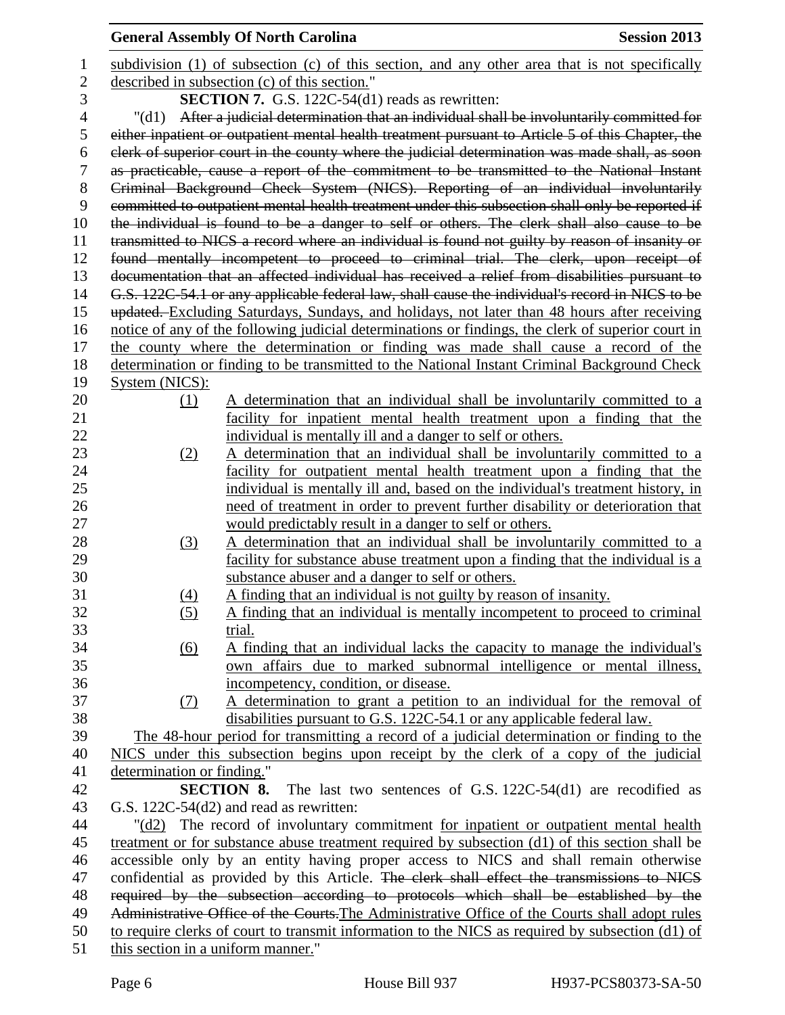|                  |                                                                                                  | <b>General Assembly Of North Carolina</b><br><b>Session 2013</b>                                   |  |  |
|------------------|--------------------------------------------------------------------------------------------------|----------------------------------------------------------------------------------------------------|--|--|
| 1                |                                                                                                  | subdivision (1) of subsection (c) of this section, and any other area that is not specifically     |  |  |
| $\overline{c}$   |                                                                                                  | described in subsection (c) of this section."                                                      |  |  |
| 3                |                                                                                                  | <b>SECTION 7.</b> G.S. 122C-54(d1) reads as rewritten:                                             |  |  |
| 4                | $"(\mathrm{d}1)$                                                                                 | After a judicial determination that an individual shall be involuntarily committed for             |  |  |
| 5                |                                                                                                  | either inpatient or outpatient mental health treatment pursuant to Article 5 of this Chapter, the  |  |  |
| 6                |                                                                                                  | clerk of superior court in the county where the judicial determination was made shall, as soon     |  |  |
| $\boldsymbol{7}$ |                                                                                                  | as practicable, cause a report of the commitment to be transmitted to the National Instant         |  |  |
| 8                |                                                                                                  | Criminal Background Check System (NICS). Reporting of an individual involuntarily                  |  |  |
| 9                |                                                                                                  | committed to outpatient mental health treatment under this subsection shall only be reported if    |  |  |
| 10               |                                                                                                  | the individual is found to be a danger to self or others. The clerk shall also cause to be         |  |  |
| 11               |                                                                                                  | transmitted to NICS a record where an individual is found not guilty by reason of insanity or      |  |  |
| 12               |                                                                                                  | found mentally incompetent to proceed to criminal trial. The clerk, upon receipt of                |  |  |
| 13               |                                                                                                  | documentation that an affected individual has received a relief from disabilities pursuant to      |  |  |
| 14               |                                                                                                  | G.S. 122C-54.1 or any applicable federal law, shall cause the individual's record in NICS to be    |  |  |
| 15               |                                                                                                  | updated. Excluding Saturdays, Sundays, and holidays, not later than 48 hours after receiving       |  |  |
| 16               |                                                                                                  | notice of any of the following judicial determinations or findings, the clerk of superior court in |  |  |
| 17               |                                                                                                  | the county where the determination or finding was made shall cause a record of the                 |  |  |
| 18               |                                                                                                  | determination or finding to be transmitted to the National Instant Criminal Background Check       |  |  |
| 19               | System (NICS):                                                                                   |                                                                                                    |  |  |
| 20               | (1)                                                                                              | A determination that an individual shall be involuntarily committed to a                           |  |  |
| 21               |                                                                                                  | facility for inpatient mental health treatment upon a finding that the                             |  |  |
| 22               |                                                                                                  | individual is mentally ill and a danger to self or others.                                         |  |  |
| 23               | (2)                                                                                              | A determination that an individual shall be involuntarily committed to a                           |  |  |
| 24               |                                                                                                  | facility for outpatient mental health treatment upon a finding that the                            |  |  |
| 25               |                                                                                                  | individual is mentally ill and, based on the individual's treatment history, in                    |  |  |
| 26               |                                                                                                  | need of treatment in order to prevent further disability or deterioration that                     |  |  |
| 27               |                                                                                                  | would predictably result in a danger to self or others.                                            |  |  |
| 28               | (3)                                                                                              | A determination that an individual shall be involuntarily committed to a                           |  |  |
| 29               |                                                                                                  | facility for substance abuse treatment upon a finding that the individual is a                     |  |  |
| 30               |                                                                                                  | substance abuser and a danger to self or others.                                                   |  |  |
| 31               | (4)                                                                                              | A finding that an individual is not guilty by reason of insanity.                                  |  |  |
| 32               | (5)                                                                                              | A finding that an individual is mentally incompetent to proceed to criminal                        |  |  |
| 33               |                                                                                                  | trial.                                                                                             |  |  |
| 34               | $\underline{(6)}$                                                                                | A finding that an individual lacks the capacity to manage the individual's                         |  |  |
| 35               |                                                                                                  | own affairs due to marked subnormal intelligence or mental illness,                                |  |  |
| 36               |                                                                                                  | incompetency, condition, or disease.                                                               |  |  |
| 37               | <u>(7)</u>                                                                                       | A determination to grant a petition to an individual for the removal of                            |  |  |
| 38               |                                                                                                  | disabilities pursuant to G.S. 122C-54.1 or any applicable federal law.                             |  |  |
| 39               |                                                                                                  | The 48-hour period for transmitting a record of a judicial determination or finding to the         |  |  |
| 40               |                                                                                                  | NICS under this subsection begins upon receipt by the clerk of a copy of the judicial              |  |  |
| 41               | determination or finding."                                                                       |                                                                                                    |  |  |
| 42               |                                                                                                  | <b>SECTION 8.</b> The last two sentences of G.S. 122C-54(d1) are recodified as                     |  |  |
| 43               |                                                                                                  | G.S. 122C-54(d2) and read as rewritten:                                                            |  |  |
| 44               |                                                                                                  | "(d2) The record of involuntary commitment for inpatient or outpatient mental health               |  |  |
| 45               |                                                                                                  | treatment or for substance abuse treatment required by subsection (d1) of this section shall be    |  |  |
| 46               |                                                                                                  | accessible only by an entity having proper access to NICS and shall remain otherwise               |  |  |
| 47               |                                                                                                  | confidential as provided by this Article. The clerk shall effect the transmissions to NICS         |  |  |
| 48               |                                                                                                  | required by the subsection according to protocols which shall be established by the                |  |  |
| 49               | Administrative Office of the Courts. The Administrative Office of the Courts shall adopt rules   |                                                                                                    |  |  |
| 50               | to require clerks of court to transmit information to the NICS as required by subsection (d1) of |                                                                                                    |  |  |
| 51               | this section in a uniform manner."                                                               |                                                                                                    |  |  |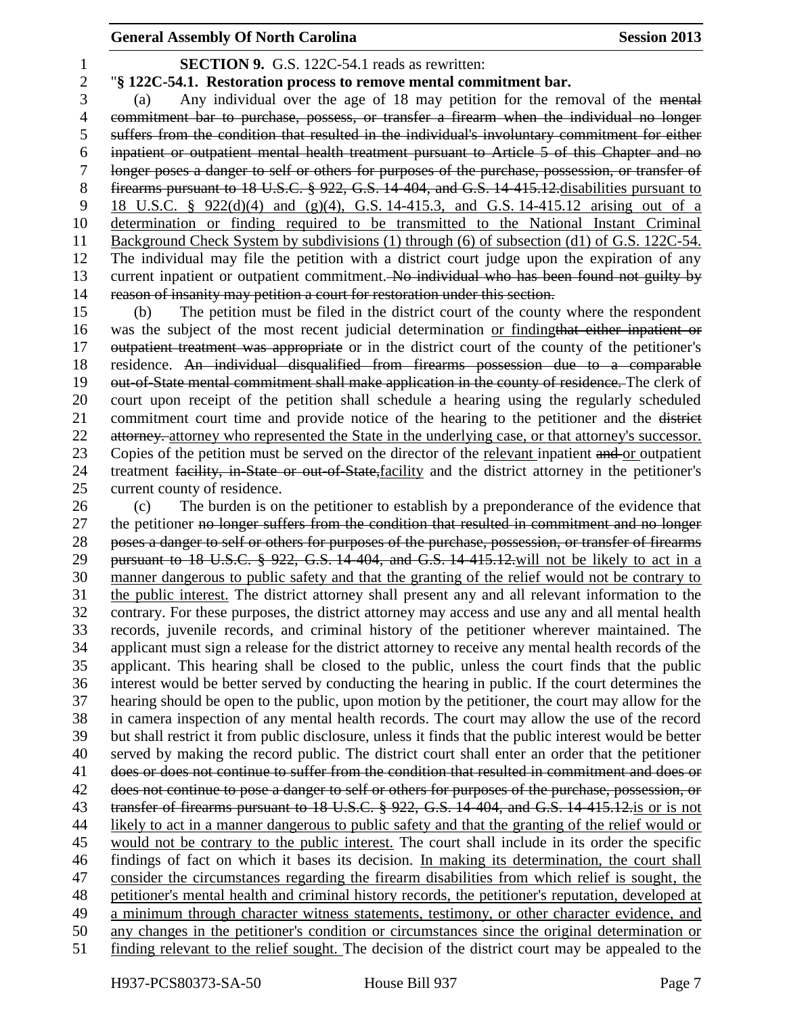**SECTION 9.** G.S. 122C-54.1 reads as rewritten:

## "**§ 122C-54.1. Restoration process to remove mental commitment bar.**

 (a) Any individual over the age of 18 may petition for the removal of the mental commitment bar to purchase, possess, or transfer a firearm when the individual no longer suffers from the condition that resulted in the individual's involuntary commitment for either inpatient or outpatient mental health treatment pursuant to Article 5 of this Chapter and no longer poses a danger to self or others for purposes of the purchase, possession, or transfer of firearms pursuant to 18 U.S.C. § 922, G.S. 14-404, and G.S. 14-415.12.disabilities pursuant to 18 U.S.C. § 922(d)(4) and (g)(4), G.S. 14-415.3, and G.S. 14-415.12 arising out of a determination or finding required to be transmitted to the National Instant Criminal Background Check System by subdivisions (1) through (6) of subsection (d1) of G.S. 122C-54. The individual may file the petition with a district court judge upon the expiration of any 13 current inpatient or outpatient commitment. No individual who has been found not guilty by reason of insanity may petition a court for restoration under this section.

 (b) The petition must be filed in the district court of the county where the respondent was the subject of the most recent judicial determination or findingthat either inpatient or 17 outpatient treatment was appropriate or in the district court of the county of the petitioner's residence. An individual disqualified from firearms possession due to a comparable out-of-State mental commitment shall make application in the county of residence. The clerk of court upon receipt of the petition shall schedule a hearing using the regularly scheduled commitment court time and provide notice of the hearing to the petitioner and the district 22 attorney. attorney who represented the State in the underlying case, or that attorney's successor. 23 Copies of the petition must be served on the director of the relevant inpatient and or outpatient treatment facility, in-State or out-of-State,facility and the district attorney in the petitioner's current county of residence.

 (c) The burden is on the petitioner to establish by a preponderance of the evidence that 27 the petitioner no longer suffers from the condition that resulted in commitment and no longer poses a danger to self or others for purposes of the purchase, possession, or transfer of firearms pursuant to 18 U.S.C. § 922, G.S. 14-404, and G.S. 14-415.12.will not be likely to act in a manner dangerous to public safety and that the granting of the relief would not be contrary to the public interest. The district attorney shall present any and all relevant information to the contrary. For these purposes, the district attorney may access and use any and all mental health records, juvenile records, and criminal history of the petitioner wherever maintained. The applicant must sign a release for the district attorney to receive any mental health records of the applicant. This hearing shall be closed to the public, unless the court finds that the public interest would be better served by conducting the hearing in public. If the court determines the hearing should be open to the public, upon motion by the petitioner, the court may allow for the in camera inspection of any mental health records. The court may allow the use of the record but shall restrict it from public disclosure, unless it finds that the public interest would be better served by making the record public. The district court shall enter an order that the petitioner does or does not continue to suffer from the condition that resulted in commitment and does or 42 does not continue to pose a danger to self or others for purposes of the purchase, possession, or transfer of firearms pursuant to 18 U.S.C. § 922, G.S. 14-404, and G.S. 14-415.12.is or is not likely to act in a manner dangerous to public safety and that the granting of the relief would or would not be contrary to the public interest. The court shall include in its order the specific findings of fact on which it bases its decision. In making its determination, the court shall consider the circumstances regarding the firearm disabilities from which relief is sought, the petitioner's mental health and criminal history records, the petitioner's reputation, developed at a minimum through character witness statements, testimony, or other character evidence, and any changes in the petitioner's condition or circumstances since the original determination or finding relevant to the relief sought. The decision of the district court may be appealed to the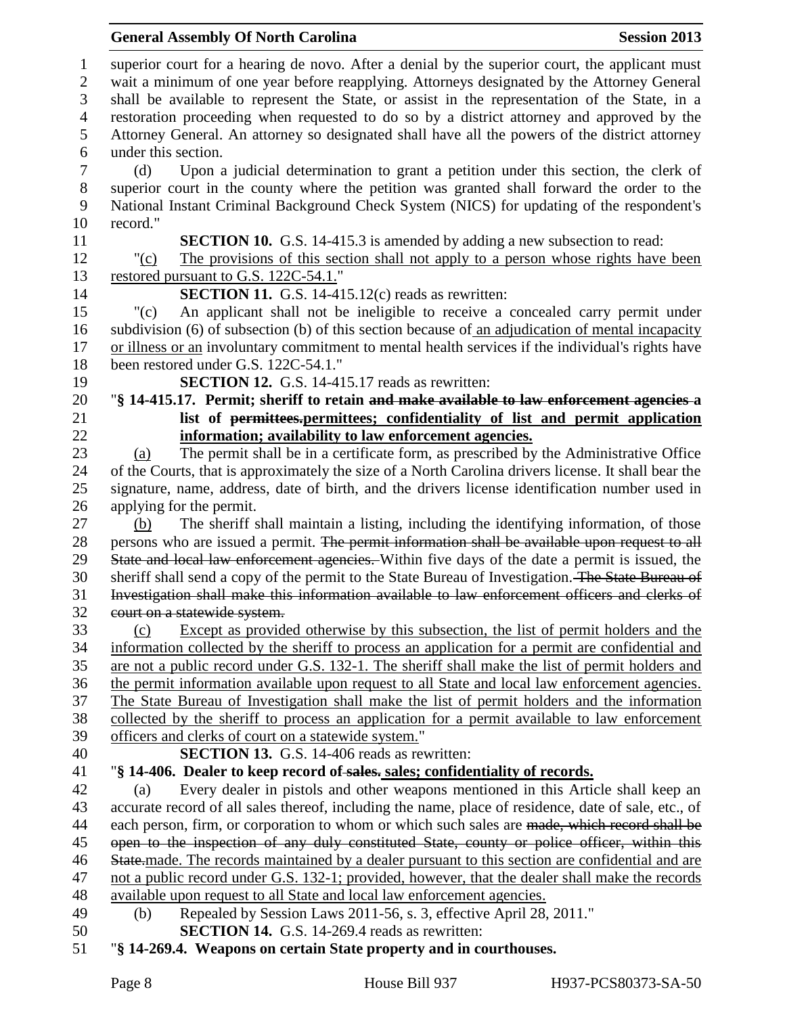superior court for a hearing de novo. After a denial by the superior court, the applicant must wait a minimum of one year before reapplying. Attorneys designated by the Attorney General shall be available to represent the State, or assist in the representation of the State, in a restoration proceeding when requested to do so by a district attorney and approved by the Attorney General. An attorney so designated shall have all the powers of the district attorney under this section. (d) Upon a judicial determination to grant a petition under this section, the clerk of superior court in the county where the petition was granted shall forward the order to the National Instant Criminal Background Check System (NICS) for updating of the respondent's record." **SECTION 10.** G.S. 14-415.3 is amended by adding a new subsection to read: "(c) The provisions of this section shall not apply to a person whose rights have been restored pursuant to G.S. 122C-54.1." **SECTION 11.** G.S. 14-415.12(c) reads as rewritten: "(c) An applicant shall not be ineligible to receive a concealed carry permit under subdivision (6) of subsection (b) of this section because of an adjudication of mental incapacity or illness or an involuntary commitment to mental health services if the individual's rights have been restored under G.S. 122C-54.1." **SECTION 12.** G.S. 14-415.17 reads as rewritten: "**§ 14-415.17. Permit; sheriff to retain and make available to law enforcement agencies a list of permittees.permittees; confidentiality of list and permit application information; availability to law enforcement agencies.** (a) The permit shall be in a certificate form, as prescribed by the Administrative Office of the Courts, that is approximately the size of a North Carolina drivers license. It shall bear the signature, name, address, date of birth, and the drivers license identification number used in applying for the permit. (b) The sheriff shall maintain a listing, including the identifying information, of those 28 persons who are issued a permit. The permit information shall be available upon request to all 29 State and local law enforcement agencies. Within five days of the date a permit is issued, the 30 sheriff shall send a copy of the permit to the State Bureau of Investigation. The State Bureau of Investigation shall make this information available to law enforcement officers and clerks of court on a statewide system. (c) Except as provided otherwise by this subsection, the list of permit holders and the information collected by the sheriff to process an application for a permit are confidential and are not a public record under G.S. 132-1. The sheriff shall make the list of permit holders and the permit information available upon request to all State and local law enforcement agencies. The State Bureau of Investigation shall make the list of permit holders and the information collected by the sheriff to process an application for a permit available to law enforcement officers and clerks of court on a statewide system." **SECTION 13.** G.S. 14-406 reads as rewritten: "**§ 14-406. Dealer to keep record of sales. sales; confidentiality of records.** (a) Every dealer in pistols and other weapons mentioned in this Article shall keep an accurate record of all sales thereof, including the name, place of residence, date of sale, etc., of 44 each person, firm, or corporation to whom or which such sales are made, which record shall be open to the inspection of any duly constituted State, county or police officer, within this 46 State.made. The records maintained by a dealer pursuant to this section are confidential and are not a public record under G.S. 132-1; provided, however, that the dealer shall make the records available upon request to all State and local law enforcement agencies. (b) Repealed by Session Laws 2011-56, s. 3, effective April 28, 2011." **SECTION 14.** G.S. 14-269.4 reads as rewritten: "**§ 14-269.4. Weapons on certain State property and in courthouses.**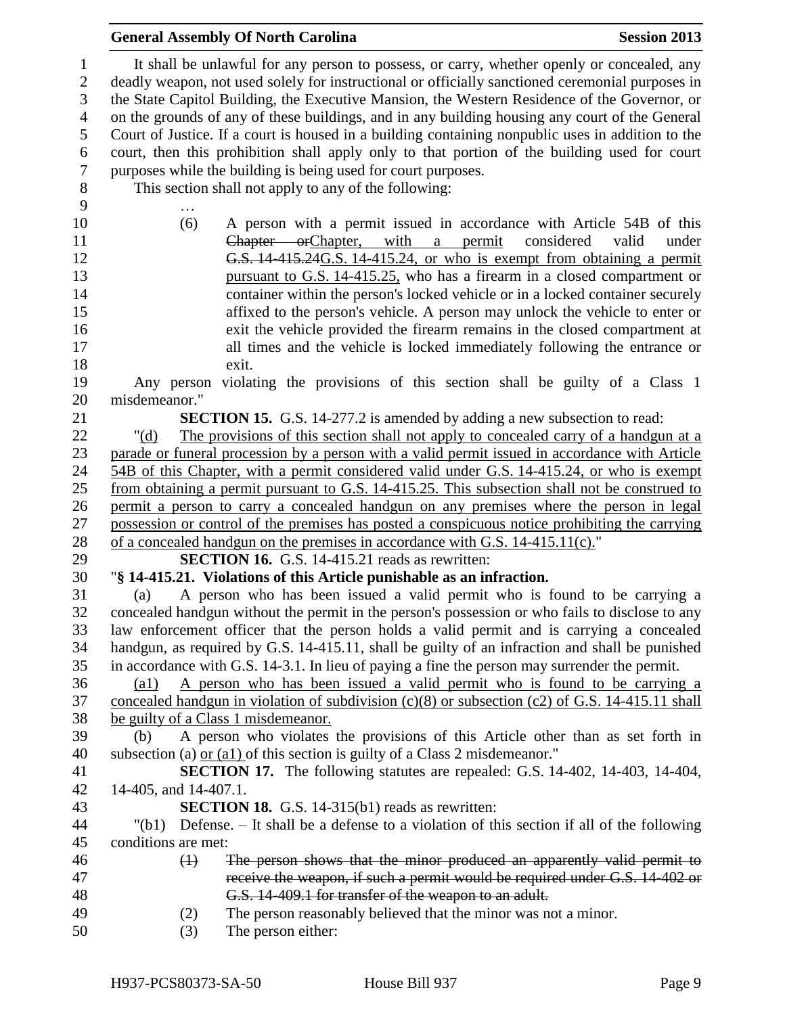| It shall be unlawful for any person to possess, or carry, whether openly or concealed, any<br>1<br>deadly weapon, not used solely for instructional or officially sanctioned ceremonial purposes in<br>$\mathbf{2}$<br>3<br>the State Capitol Building, the Executive Mansion, the Western Residence of the Governor, or<br>$\overline{4}$<br>on the grounds of any of these buildings, and in any building housing any court of the General<br>5<br>Court of Justice. If a court is housed in a building containing nonpublic uses in addition to the<br>court, then this prohibition shall apply only to that portion of the building used for court<br>6<br>$\boldsymbol{7}$<br>purposes while the building is being used for court purposes.<br>$8\,$<br>This section shall not apply to any of the following:<br>9<br>10<br>(6)<br>A person with a permit issued in accordance with Article 54B of this<br>Chapter orChapter, with a permit<br>considered<br>11<br>valid<br>under<br>G.S. 14-415.24G.S. 14-415.24, or who is exempt from obtaining a permit<br>12<br>13<br>pursuant to G.S. 14-415.25, who has a firearm in a closed compartment or<br>container within the person's locked vehicle or in a locked container securely<br>14<br>affixed to the person's vehicle. A person may unlock the vehicle to enter or<br>15<br>exit the vehicle provided the firearm remains in the closed compartment at<br>16<br>17<br>all times and the vehicle is locked immediately following the entrance or<br>18<br>exit.<br>19<br>Any person violating the provisions of this section shall be guilty of a Class 1<br>misdemeanor."<br>20<br>21<br><b>SECTION 15.</b> G.S. 14-277.2 is amended by adding a new subsection to read:<br>22<br>The provisions of this section shall not apply to concealed carry of a handgun at a<br>" $(d)$<br>23<br>parade or funeral procession by a person with a valid permit issued in accordance with Article<br>24<br>54B of this Chapter, with a permit considered valid under G.S. 14-415.24, or who is exempt<br>25<br>from obtaining a permit pursuant to G.S. 14-415.25. This subsection shall not be construed to<br>permit a person to carry a concealed handgun on any premises where the person in legal<br>26<br>possession or control of the premises has posted a conspicuous notice prohibiting the carrying<br>27<br>28<br>of a concealed handgun on the premises in accordance with G.S. 14-415.11(c)."<br><b>SECTION 16.</b> G.S. 14-415.21 reads as rewritten:<br>29<br>30<br>"§ 14-415.21. Violations of this Article punishable as an infraction.<br>A person who has been issued a valid permit who is found to be carrying a<br>31<br>(a)<br>concealed handgun without the permit in the person's possession or who fails to disclose to any<br>32<br>33<br>law enforcement officer that the person holds a valid permit and is carrying a concealed<br>handgun, as required by G.S. 14-415.11, shall be guilty of an infraction and shall be punished<br>34<br>in accordance with G.S. 14-3.1. In lieu of paying a fine the person may surrender the permit.<br>35<br>A person who has been issued a valid permit who is found to be carrying a<br>36<br>$\left( a1\right)$<br>37<br>concealed handgun in violation of subdivision $(c)(8)$ or subsection $(c2)$ of G.S. 14-415.11 shall<br>38<br>be guilty of a Class 1 misdemeanor.<br>A person who violates the provisions of this Article other than as set forth in<br>39<br>(b)<br>40<br>subsection (a) $or (a1)$ of this section is guilty of a Class 2 misdemeanor."<br><b>SECTION 17.</b> The following statutes are repealed: G.S. 14-402, 14-403, 14-404,<br>41<br>14-405, and 14-407.1.<br>42 |
|---------------------------------------------------------------------------------------------------------------------------------------------------------------------------------------------------------------------------------------------------------------------------------------------------------------------------------------------------------------------------------------------------------------------------------------------------------------------------------------------------------------------------------------------------------------------------------------------------------------------------------------------------------------------------------------------------------------------------------------------------------------------------------------------------------------------------------------------------------------------------------------------------------------------------------------------------------------------------------------------------------------------------------------------------------------------------------------------------------------------------------------------------------------------------------------------------------------------------------------------------------------------------------------------------------------------------------------------------------------------------------------------------------------------------------------------------------------------------------------------------------------------------------------------------------------------------------------------------------------------------------------------------------------------------------------------------------------------------------------------------------------------------------------------------------------------------------------------------------------------------------------------------------------------------------------------------------------------------------------------------------------------------------------------------------------------------------------------------------------------------------------------------------------------------------------------------------------------------------------------------------------------------------------------------------------------------------------------------------------------------------------------------------------------------------------------------------------------------------------------------------------------------------------------------------------------------------------------------------------------------------------------------------------------------------------------------------------------------------------------------------------------------------------------------------------------------------------------------------------------------------------------------------------------------------------------------------------------------------------------------------------------------------------------------------------------------------------------------------------------------------------------------------------------------------------------------------------------------------------------------------------------------------------------------------------------------------------------------------------------------------------------------------------------------------------------------------------------------------------------------------------------------------------------------------------------------------------------------------------------------------------------------------------------------------------------------------------------------|
|                                                                                                                                                                                                                                                                                                                                                                                                                                                                                                                                                                                                                                                                                                                                                                                                                                                                                                                                                                                                                                                                                                                                                                                                                                                                                                                                                                                                                                                                                                                                                                                                                                                                                                                                                                                                                                                                                                                                                                                                                                                                                                                                                                                                                                                                                                                                                                                                                                                                                                                                                                                                                                                                                                                                                                                                                                                                                                                                                                                                                                                                                                                                                                                                                                                                                                                                                                                                                                                                                                                                                                                                                                                                                                                           |
|                                                                                                                                                                                                                                                                                                                                                                                                                                                                                                                                                                                                                                                                                                                                                                                                                                                                                                                                                                                                                                                                                                                                                                                                                                                                                                                                                                                                                                                                                                                                                                                                                                                                                                                                                                                                                                                                                                                                                                                                                                                                                                                                                                                                                                                                                                                                                                                                                                                                                                                                                                                                                                                                                                                                                                                                                                                                                                                                                                                                                                                                                                                                                                                                                                                                                                                                                                                                                                                                                                                                                                                                                                                                                                                           |
|                                                                                                                                                                                                                                                                                                                                                                                                                                                                                                                                                                                                                                                                                                                                                                                                                                                                                                                                                                                                                                                                                                                                                                                                                                                                                                                                                                                                                                                                                                                                                                                                                                                                                                                                                                                                                                                                                                                                                                                                                                                                                                                                                                                                                                                                                                                                                                                                                                                                                                                                                                                                                                                                                                                                                                                                                                                                                                                                                                                                                                                                                                                                                                                                                                                                                                                                                                                                                                                                                                                                                                                                                                                                                                                           |
|                                                                                                                                                                                                                                                                                                                                                                                                                                                                                                                                                                                                                                                                                                                                                                                                                                                                                                                                                                                                                                                                                                                                                                                                                                                                                                                                                                                                                                                                                                                                                                                                                                                                                                                                                                                                                                                                                                                                                                                                                                                                                                                                                                                                                                                                                                                                                                                                                                                                                                                                                                                                                                                                                                                                                                                                                                                                                                                                                                                                                                                                                                                                                                                                                                                                                                                                                                                                                                                                                                                                                                                                                                                                                                                           |
|                                                                                                                                                                                                                                                                                                                                                                                                                                                                                                                                                                                                                                                                                                                                                                                                                                                                                                                                                                                                                                                                                                                                                                                                                                                                                                                                                                                                                                                                                                                                                                                                                                                                                                                                                                                                                                                                                                                                                                                                                                                                                                                                                                                                                                                                                                                                                                                                                                                                                                                                                                                                                                                                                                                                                                                                                                                                                                                                                                                                                                                                                                                                                                                                                                                                                                                                                                                                                                                                                                                                                                                                                                                                                                                           |
|                                                                                                                                                                                                                                                                                                                                                                                                                                                                                                                                                                                                                                                                                                                                                                                                                                                                                                                                                                                                                                                                                                                                                                                                                                                                                                                                                                                                                                                                                                                                                                                                                                                                                                                                                                                                                                                                                                                                                                                                                                                                                                                                                                                                                                                                                                                                                                                                                                                                                                                                                                                                                                                                                                                                                                                                                                                                                                                                                                                                                                                                                                                                                                                                                                                                                                                                                                                                                                                                                                                                                                                                                                                                                                                           |
|                                                                                                                                                                                                                                                                                                                                                                                                                                                                                                                                                                                                                                                                                                                                                                                                                                                                                                                                                                                                                                                                                                                                                                                                                                                                                                                                                                                                                                                                                                                                                                                                                                                                                                                                                                                                                                                                                                                                                                                                                                                                                                                                                                                                                                                                                                                                                                                                                                                                                                                                                                                                                                                                                                                                                                                                                                                                                                                                                                                                                                                                                                                                                                                                                                                                                                                                                                                                                                                                                                                                                                                                                                                                                                                           |
|                                                                                                                                                                                                                                                                                                                                                                                                                                                                                                                                                                                                                                                                                                                                                                                                                                                                                                                                                                                                                                                                                                                                                                                                                                                                                                                                                                                                                                                                                                                                                                                                                                                                                                                                                                                                                                                                                                                                                                                                                                                                                                                                                                                                                                                                                                                                                                                                                                                                                                                                                                                                                                                                                                                                                                                                                                                                                                                                                                                                                                                                                                                                                                                                                                                                                                                                                                                                                                                                                                                                                                                                                                                                                                                           |
|                                                                                                                                                                                                                                                                                                                                                                                                                                                                                                                                                                                                                                                                                                                                                                                                                                                                                                                                                                                                                                                                                                                                                                                                                                                                                                                                                                                                                                                                                                                                                                                                                                                                                                                                                                                                                                                                                                                                                                                                                                                                                                                                                                                                                                                                                                                                                                                                                                                                                                                                                                                                                                                                                                                                                                                                                                                                                                                                                                                                                                                                                                                                                                                                                                                                                                                                                                                                                                                                                                                                                                                                                                                                                                                           |
|                                                                                                                                                                                                                                                                                                                                                                                                                                                                                                                                                                                                                                                                                                                                                                                                                                                                                                                                                                                                                                                                                                                                                                                                                                                                                                                                                                                                                                                                                                                                                                                                                                                                                                                                                                                                                                                                                                                                                                                                                                                                                                                                                                                                                                                                                                                                                                                                                                                                                                                                                                                                                                                                                                                                                                                                                                                                                                                                                                                                                                                                                                                                                                                                                                                                                                                                                                                                                                                                                                                                                                                                                                                                                                                           |
|                                                                                                                                                                                                                                                                                                                                                                                                                                                                                                                                                                                                                                                                                                                                                                                                                                                                                                                                                                                                                                                                                                                                                                                                                                                                                                                                                                                                                                                                                                                                                                                                                                                                                                                                                                                                                                                                                                                                                                                                                                                                                                                                                                                                                                                                                                                                                                                                                                                                                                                                                                                                                                                                                                                                                                                                                                                                                                                                                                                                                                                                                                                                                                                                                                                                                                                                                                                                                                                                                                                                                                                                                                                                                                                           |
|                                                                                                                                                                                                                                                                                                                                                                                                                                                                                                                                                                                                                                                                                                                                                                                                                                                                                                                                                                                                                                                                                                                                                                                                                                                                                                                                                                                                                                                                                                                                                                                                                                                                                                                                                                                                                                                                                                                                                                                                                                                                                                                                                                                                                                                                                                                                                                                                                                                                                                                                                                                                                                                                                                                                                                                                                                                                                                                                                                                                                                                                                                                                                                                                                                                                                                                                                                                                                                                                                                                                                                                                                                                                                                                           |
|                                                                                                                                                                                                                                                                                                                                                                                                                                                                                                                                                                                                                                                                                                                                                                                                                                                                                                                                                                                                                                                                                                                                                                                                                                                                                                                                                                                                                                                                                                                                                                                                                                                                                                                                                                                                                                                                                                                                                                                                                                                                                                                                                                                                                                                                                                                                                                                                                                                                                                                                                                                                                                                                                                                                                                                                                                                                                                                                                                                                                                                                                                                                                                                                                                                                                                                                                                                                                                                                                                                                                                                                                                                                                                                           |
|                                                                                                                                                                                                                                                                                                                                                                                                                                                                                                                                                                                                                                                                                                                                                                                                                                                                                                                                                                                                                                                                                                                                                                                                                                                                                                                                                                                                                                                                                                                                                                                                                                                                                                                                                                                                                                                                                                                                                                                                                                                                                                                                                                                                                                                                                                                                                                                                                                                                                                                                                                                                                                                                                                                                                                                                                                                                                                                                                                                                                                                                                                                                                                                                                                                                                                                                                                                                                                                                                                                                                                                                                                                                                                                           |
|                                                                                                                                                                                                                                                                                                                                                                                                                                                                                                                                                                                                                                                                                                                                                                                                                                                                                                                                                                                                                                                                                                                                                                                                                                                                                                                                                                                                                                                                                                                                                                                                                                                                                                                                                                                                                                                                                                                                                                                                                                                                                                                                                                                                                                                                                                                                                                                                                                                                                                                                                                                                                                                                                                                                                                                                                                                                                                                                                                                                                                                                                                                                                                                                                                                                                                                                                                                                                                                                                                                                                                                                                                                                                                                           |
|                                                                                                                                                                                                                                                                                                                                                                                                                                                                                                                                                                                                                                                                                                                                                                                                                                                                                                                                                                                                                                                                                                                                                                                                                                                                                                                                                                                                                                                                                                                                                                                                                                                                                                                                                                                                                                                                                                                                                                                                                                                                                                                                                                                                                                                                                                                                                                                                                                                                                                                                                                                                                                                                                                                                                                                                                                                                                                                                                                                                                                                                                                                                                                                                                                                                                                                                                                                                                                                                                                                                                                                                                                                                                                                           |
|                                                                                                                                                                                                                                                                                                                                                                                                                                                                                                                                                                                                                                                                                                                                                                                                                                                                                                                                                                                                                                                                                                                                                                                                                                                                                                                                                                                                                                                                                                                                                                                                                                                                                                                                                                                                                                                                                                                                                                                                                                                                                                                                                                                                                                                                                                                                                                                                                                                                                                                                                                                                                                                                                                                                                                                                                                                                                                                                                                                                                                                                                                                                                                                                                                                                                                                                                                                                                                                                                                                                                                                                                                                                                                                           |
|                                                                                                                                                                                                                                                                                                                                                                                                                                                                                                                                                                                                                                                                                                                                                                                                                                                                                                                                                                                                                                                                                                                                                                                                                                                                                                                                                                                                                                                                                                                                                                                                                                                                                                                                                                                                                                                                                                                                                                                                                                                                                                                                                                                                                                                                                                                                                                                                                                                                                                                                                                                                                                                                                                                                                                                                                                                                                                                                                                                                                                                                                                                                                                                                                                                                                                                                                                                                                                                                                                                                                                                                                                                                                                                           |
|                                                                                                                                                                                                                                                                                                                                                                                                                                                                                                                                                                                                                                                                                                                                                                                                                                                                                                                                                                                                                                                                                                                                                                                                                                                                                                                                                                                                                                                                                                                                                                                                                                                                                                                                                                                                                                                                                                                                                                                                                                                                                                                                                                                                                                                                                                                                                                                                                                                                                                                                                                                                                                                                                                                                                                                                                                                                                                                                                                                                                                                                                                                                                                                                                                                                                                                                                                                                                                                                                                                                                                                                                                                                                                                           |
|                                                                                                                                                                                                                                                                                                                                                                                                                                                                                                                                                                                                                                                                                                                                                                                                                                                                                                                                                                                                                                                                                                                                                                                                                                                                                                                                                                                                                                                                                                                                                                                                                                                                                                                                                                                                                                                                                                                                                                                                                                                                                                                                                                                                                                                                                                                                                                                                                                                                                                                                                                                                                                                                                                                                                                                                                                                                                                                                                                                                                                                                                                                                                                                                                                                                                                                                                                                                                                                                                                                                                                                                                                                                                                                           |
|                                                                                                                                                                                                                                                                                                                                                                                                                                                                                                                                                                                                                                                                                                                                                                                                                                                                                                                                                                                                                                                                                                                                                                                                                                                                                                                                                                                                                                                                                                                                                                                                                                                                                                                                                                                                                                                                                                                                                                                                                                                                                                                                                                                                                                                                                                                                                                                                                                                                                                                                                                                                                                                                                                                                                                                                                                                                                                                                                                                                                                                                                                                                                                                                                                                                                                                                                                                                                                                                                                                                                                                                                                                                                                                           |
|                                                                                                                                                                                                                                                                                                                                                                                                                                                                                                                                                                                                                                                                                                                                                                                                                                                                                                                                                                                                                                                                                                                                                                                                                                                                                                                                                                                                                                                                                                                                                                                                                                                                                                                                                                                                                                                                                                                                                                                                                                                                                                                                                                                                                                                                                                                                                                                                                                                                                                                                                                                                                                                                                                                                                                                                                                                                                                                                                                                                                                                                                                                                                                                                                                                                                                                                                                                                                                                                                                                                                                                                                                                                                                                           |
|                                                                                                                                                                                                                                                                                                                                                                                                                                                                                                                                                                                                                                                                                                                                                                                                                                                                                                                                                                                                                                                                                                                                                                                                                                                                                                                                                                                                                                                                                                                                                                                                                                                                                                                                                                                                                                                                                                                                                                                                                                                                                                                                                                                                                                                                                                                                                                                                                                                                                                                                                                                                                                                                                                                                                                                                                                                                                                                                                                                                                                                                                                                                                                                                                                                                                                                                                                                                                                                                                                                                                                                                                                                                                                                           |
|                                                                                                                                                                                                                                                                                                                                                                                                                                                                                                                                                                                                                                                                                                                                                                                                                                                                                                                                                                                                                                                                                                                                                                                                                                                                                                                                                                                                                                                                                                                                                                                                                                                                                                                                                                                                                                                                                                                                                                                                                                                                                                                                                                                                                                                                                                                                                                                                                                                                                                                                                                                                                                                                                                                                                                                                                                                                                                                                                                                                                                                                                                                                                                                                                                                                                                                                                                                                                                                                                                                                                                                                                                                                                                                           |
|                                                                                                                                                                                                                                                                                                                                                                                                                                                                                                                                                                                                                                                                                                                                                                                                                                                                                                                                                                                                                                                                                                                                                                                                                                                                                                                                                                                                                                                                                                                                                                                                                                                                                                                                                                                                                                                                                                                                                                                                                                                                                                                                                                                                                                                                                                                                                                                                                                                                                                                                                                                                                                                                                                                                                                                                                                                                                                                                                                                                                                                                                                                                                                                                                                                                                                                                                                                                                                                                                                                                                                                                                                                                                                                           |
|                                                                                                                                                                                                                                                                                                                                                                                                                                                                                                                                                                                                                                                                                                                                                                                                                                                                                                                                                                                                                                                                                                                                                                                                                                                                                                                                                                                                                                                                                                                                                                                                                                                                                                                                                                                                                                                                                                                                                                                                                                                                                                                                                                                                                                                                                                                                                                                                                                                                                                                                                                                                                                                                                                                                                                                                                                                                                                                                                                                                                                                                                                                                                                                                                                                                                                                                                                                                                                                                                                                                                                                                                                                                                                                           |
|                                                                                                                                                                                                                                                                                                                                                                                                                                                                                                                                                                                                                                                                                                                                                                                                                                                                                                                                                                                                                                                                                                                                                                                                                                                                                                                                                                                                                                                                                                                                                                                                                                                                                                                                                                                                                                                                                                                                                                                                                                                                                                                                                                                                                                                                                                                                                                                                                                                                                                                                                                                                                                                                                                                                                                                                                                                                                                                                                                                                                                                                                                                                                                                                                                                                                                                                                                                                                                                                                                                                                                                                                                                                                                                           |
|                                                                                                                                                                                                                                                                                                                                                                                                                                                                                                                                                                                                                                                                                                                                                                                                                                                                                                                                                                                                                                                                                                                                                                                                                                                                                                                                                                                                                                                                                                                                                                                                                                                                                                                                                                                                                                                                                                                                                                                                                                                                                                                                                                                                                                                                                                                                                                                                                                                                                                                                                                                                                                                                                                                                                                                                                                                                                                                                                                                                                                                                                                                                                                                                                                                                                                                                                                                                                                                                                                                                                                                                                                                                                                                           |
|                                                                                                                                                                                                                                                                                                                                                                                                                                                                                                                                                                                                                                                                                                                                                                                                                                                                                                                                                                                                                                                                                                                                                                                                                                                                                                                                                                                                                                                                                                                                                                                                                                                                                                                                                                                                                                                                                                                                                                                                                                                                                                                                                                                                                                                                                                                                                                                                                                                                                                                                                                                                                                                                                                                                                                                                                                                                                                                                                                                                                                                                                                                                                                                                                                                                                                                                                                                                                                                                                                                                                                                                                                                                                                                           |
|                                                                                                                                                                                                                                                                                                                                                                                                                                                                                                                                                                                                                                                                                                                                                                                                                                                                                                                                                                                                                                                                                                                                                                                                                                                                                                                                                                                                                                                                                                                                                                                                                                                                                                                                                                                                                                                                                                                                                                                                                                                                                                                                                                                                                                                                                                                                                                                                                                                                                                                                                                                                                                                                                                                                                                                                                                                                                                                                                                                                                                                                                                                                                                                                                                                                                                                                                                                                                                                                                                                                                                                                                                                                                                                           |
|                                                                                                                                                                                                                                                                                                                                                                                                                                                                                                                                                                                                                                                                                                                                                                                                                                                                                                                                                                                                                                                                                                                                                                                                                                                                                                                                                                                                                                                                                                                                                                                                                                                                                                                                                                                                                                                                                                                                                                                                                                                                                                                                                                                                                                                                                                                                                                                                                                                                                                                                                                                                                                                                                                                                                                                                                                                                                                                                                                                                                                                                                                                                                                                                                                                                                                                                                                                                                                                                                                                                                                                                                                                                                                                           |
|                                                                                                                                                                                                                                                                                                                                                                                                                                                                                                                                                                                                                                                                                                                                                                                                                                                                                                                                                                                                                                                                                                                                                                                                                                                                                                                                                                                                                                                                                                                                                                                                                                                                                                                                                                                                                                                                                                                                                                                                                                                                                                                                                                                                                                                                                                                                                                                                                                                                                                                                                                                                                                                                                                                                                                                                                                                                                                                                                                                                                                                                                                                                                                                                                                                                                                                                                                                                                                                                                                                                                                                                                                                                                                                           |
|                                                                                                                                                                                                                                                                                                                                                                                                                                                                                                                                                                                                                                                                                                                                                                                                                                                                                                                                                                                                                                                                                                                                                                                                                                                                                                                                                                                                                                                                                                                                                                                                                                                                                                                                                                                                                                                                                                                                                                                                                                                                                                                                                                                                                                                                                                                                                                                                                                                                                                                                                                                                                                                                                                                                                                                                                                                                                                                                                                                                                                                                                                                                                                                                                                                                                                                                                                                                                                                                                                                                                                                                                                                                                                                           |
|                                                                                                                                                                                                                                                                                                                                                                                                                                                                                                                                                                                                                                                                                                                                                                                                                                                                                                                                                                                                                                                                                                                                                                                                                                                                                                                                                                                                                                                                                                                                                                                                                                                                                                                                                                                                                                                                                                                                                                                                                                                                                                                                                                                                                                                                                                                                                                                                                                                                                                                                                                                                                                                                                                                                                                                                                                                                                                                                                                                                                                                                                                                                                                                                                                                                                                                                                                                                                                                                                                                                                                                                                                                                                                                           |
|                                                                                                                                                                                                                                                                                                                                                                                                                                                                                                                                                                                                                                                                                                                                                                                                                                                                                                                                                                                                                                                                                                                                                                                                                                                                                                                                                                                                                                                                                                                                                                                                                                                                                                                                                                                                                                                                                                                                                                                                                                                                                                                                                                                                                                                                                                                                                                                                                                                                                                                                                                                                                                                                                                                                                                                                                                                                                                                                                                                                                                                                                                                                                                                                                                                                                                                                                                                                                                                                                                                                                                                                                                                                                                                           |
|                                                                                                                                                                                                                                                                                                                                                                                                                                                                                                                                                                                                                                                                                                                                                                                                                                                                                                                                                                                                                                                                                                                                                                                                                                                                                                                                                                                                                                                                                                                                                                                                                                                                                                                                                                                                                                                                                                                                                                                                                                                                                                                                                                                                                                                                                                                                                                                                                                                                                                                                                                                                                                                                                                                                                                                                                                                                                                                                                                                                                                                                                                                                                                                                                                                                                                                                                                                                                                                                                                                                                                                                                                                                                                                           |
|                                                                                                                                                                                                                                                                                                                                                                                                                                                                                                                                                                                                                                                                                                                                                                                                                                                                                                                                                                                                                                                                                                                                                                                                                                                                                                                                                                                                                                                                                                                                                                                                                                                                                                                                                                                                                                                                                                                                                                                                                                                                                                                                                                                                                                                                                                                                                                                                                                                                                                                                                                                                                                                                                                                                                                                                                                                                                                                                                                                                                                                                                                                                                                                                                                                                                                                                                                                                                                                                                                                                                                                                                                                                                                                           |
|                                                                                                                                                                                                                                                                                                                                                                                                                                                                                                                                                                                                                                                                                                                                                                                                                                                                                                                                                                                                                                                                                                                                                                                                                                                                                                                                                                                                                                                                                                                                                                                                                                                                                                                                                                                                                                                                                                                                                                                                                                                                                                                                                                                                                                                                                                                                                                                                                                                                                                                                                                                                                                                                                                                                                                                                                                                                                                                                                                                                                                                                                                                                                                                                                                                                                                                                                                                                                                                                                                                                                                                                                                                                                                                           |
|                                                                                                                                                                                                                                                                                                                                                                                                                                                                                                                                                                                                                                                                                                                                                                                                                                                                                                                                                                                                                                                                                                                                                                                                                                                                                                                                                                                                                                                                                                                                                                                                                                                                                                                                                                                                                                                                                                                                                                                                                                                                                                                                                                                                                                                                                                                                                                                                                                                                                                                                                                                                                                                                                                                                                                                                                                                                                                                                                                                                                                                                                                                                                                                                                                                                                                                                                                                                                                                                                                                                                                                                                                                                                                                           |
|                                                                                                                                                                                                                                                                                                                                                                                                                                                                                                                                                                                                                                                                                                                                                                                                                                                                                                                                                                                                                                                                                                                                                                                                                                                                                                                                                                                                                                                                                                                                                                                                                                                                                                                                                                                                                                                                                                                                                                                                                                                                                                                                                                                                                                                                                                                                                                                                                                                                                                                                                                                                                                                                                                                                                                                                                                                                                                                                                                                                                                                                                                                                                                                                                                                                                                                                                                                                                                                                                                                                                                                                                                                                                                                           |
|                                                                                                                                                                                                                                                                                                                                                                                                                                                                                                                                                                                                                                                                                                                                                                                                                                                                                                                                                                                                                                                                                                                                                                                                                                                                                                                                                                                                                                                                                                                                                                                                                                                                                                                                                                                                                                                                                                                                                                                                                                                                                                                                                                                                                                                                                                                                                                                                                                                                                                                                                                                                                                                                                                                                                                                                                                                                                                                                                                                                                                                                                                                                                                                                                                                                                                                                                                                                                                                                                                                                                                                                                                                                                                                           |
|                                                                                                                                                                                                                                                                                                                                                                                                                                                                                                                                                                                                                                                                                                                                                                                                                                                                                                                                                                                                                                                                                                                                                                                                                                                                                                                                                                                                                                                                                                                                                                                                                                                                                                                                                                                                                                                                                                                                                                                                                                                                                                                                                                                                                                                                                                                                                                                                                                                                                                                                                                                                                                                                                                                                                                                                                                                                                                                                                                                                                                                                                                                                                                                                                                                                                                                                                                                                                                                                                                                                                                                                                                                                                                                           |
|                                                                                                                                                                                                                                                                                                                                                                                                                                                                                                                                                                                                                                                                                                                                                                                                                                                                                                                                                                                                                                                                                                                                                                                                                                                                                                                                                                                                                                                                                                                                                                                                                                                                                                                                                                                                                                                                                                                                                                                                                                                                                                                                                                                                                                                                                                                                                                                                                                                                                                                                                                                                                                                                                                                                                                                                                                                                                                                                                                                                                                                                                                                                                                                                                                                                                                                                                                                                                                                                                                                                                                                                                                                                                                                           |
|                                                                                                                                                                                                                                                                                                                                                                                                                                                                                                                                                                                                                                                                                                                                                                                                                                                                                                                                                                                                                                                                                                                                                                                                                                                                                                                                                                                                                                                                                                                                                                                                                                                                                                                                                                                                                                                                                                                                                                                                                                                                                                                                                                                                                                                                                                                                                                                                                                                                                                                                                                                                                                                                                                                                                                                                                                                                                                                                                                                                                                                                                                                                                                                                                                                                                                                                                                                                                                                                                                                                                                                                                                                                                                                           |
| 43<br><b>SECTION 18.</b> G.S. 14-315(b1) reads as rewritten:                                                                                                                                                                                                                                                                                                                                                                                                                                                                                                                                                                                                                                                                                                                                                                                                                                                                                                                                                                                                                                                                                                                                                                                                                                                                                                                                                                                                                                                                                                                                                                                                                                                                                                                                                                                                                                                                                                                                                                                                                                                                                                                                                                                                                                                                                                                                                                                                                                                                                                                                                                                                                                                                                                                                                                                                                                                                                                                                                                                                                                                                                                                                                                                                                                                                                                                                                                                                                                                                                                                                                                                                                                                              |
| Defense. – It shall be a defense to a violation of this section if all of the following<br>44<br>"(b1)                                                                                                                                                                                                                                                                                                                                                                                                                                                                                                                                                                                                                                                                                                                                                                                                                                                                                                                                                                                                                                                                                                                                                                                                                                                                                                                                                                                                                                                                                                                                                                                                                                                                                                                                                                                                                                                                                                                                                                                                                                                                                                                                                                                                                                                                                                                                                                                                                                                                                                                                                                                                                                                                                                                                                                                                                                                                                                                                                                                                                                                                                                                                                                                                                                                                                                                                                                                                                                                                                                                                                                                                                    |
| 45<br>conditions are met:                                                                                                                                                                                                                                                                                                                                                                                                                                                                                                                                                                                                                                                                                                                                                                                                                                                                                                                                                                                                                                                                                                                                                                                                                                                                                                                                                                                                                                                                                                                                                                                                                                                                                                                                                                                                                                                                                                                                                                                                                                                                                                                                                                                                                                                                                                                                                                                                                                                                                                                                                                                                                                                                                                                                                                                                                                                                                                                                                                                                                                                                                                                                                                                                                                                                                                                                                                                                                                                                                                                                                                                                                                                                                                 |
| The person shows that the minor produced an apparently valid permit to<br>46<br>$\leftrightarrow$                                                                                                                                                                                                                                                                                                                                                                                                                                                                                                                                                                                                                                                                                                                                                                                                                                                                                                                                                                                                                                                                                                                                                                                                                                                                                                                                                                                                                                                                                                                                                                                                                                                                                                                                                                                                                                                                                                                                                                                                                                                                                                                                                                                                                                                                                                                                                                                                                                                                                                                                                                                                                                                                                                                                                                                                                                                                                                                                                                                                                                                                                                                                                                                                                                                                                                                                                                                                                                                                                                                                                                                                                         |
| receive the weapon, if such a permit would be required under G.S. 14-402 or<br>47                                                                                                                                                                                                                                                                                                                                                                                                                                                                                                                                                                                                                                                                                                                                                                                                                                                                                                                                                                                                                                                                                                                                                                                                                                                                                                                                                                                                                                                                                                                                                                                                                                                                                                                                                                                                                                                                                                                                                                                                                                                                                                                                                                                                                                                                                                                                                                                                                                                                                                                                                                                                                                                                                                                                                                                                                                                                                                                                                                                                                                                                                                                                                                                                                                                                                                                                                                                                                                                                                                                                                                                                                                         |
|                                                                                                                                                                                                                                                                                                                                                                                                                                                                                                                                                                                                                                                                                                                                                                                                                                                                                                                                                                                                                                                                                                                                                                                                                                                                                                                                                                                                                                                                                                                                                                                                                                                                                                                                                                                                                                                                                                                                                                                                                                                                                                                                                                                                                                                                                                                                                                                                                                                                                                                                                                                                                                                                                                                                                                                                                                                                                                                                                                                                                                                                                                                                                                                                                                                                                                                                                                                                                                                                                                                                                                                                                                                                                                                           |
| 48<br>G.S. 14-409.1 for transfer of the weapon to an adult.                                                                                                                                                                                                                                                                                                                                                                                                                                                                                                                                                                                                                                                                                                                                                                                                                                                                                                                                                                                                                                                                                                                                                                                                                                                                                                                                                                                                                                                                                                                                                                                                                                                                                                                                                                                                                                                                                                                                                                                                                                                                                                                                                                                                                                                                                                                                                                                                                                                                                                                                                                                                                                                                                                                                                                                                                                                                                                                                                                                                                                                                                                                                                                                                                                                                                                                                                                                                                                                                                                                                                                                                                                                               |
| The person reasonably believed that the minor was not a minor.<br>49<br>(2)                                                                                                                                                                                                                                                                                                                                                                                                                                                                                                                                                                                                                                                                                                                                                                                                                                                                                                                                                                                                                                                                                                                                                                                                                                                                                                                                                                                                                                                                                                                                                                                                                                                                                                                                                                                                                                                                                                                                                                                                                                                                                                                                                                                                                                                                                                                                                                                                                                                                                                                                                                                                                                                                                                                                                                                                                                                                                                                                                                                                                                                                                                                                                                                                                                                                                                                                                                                                                                                                                                                                                                                                                                               |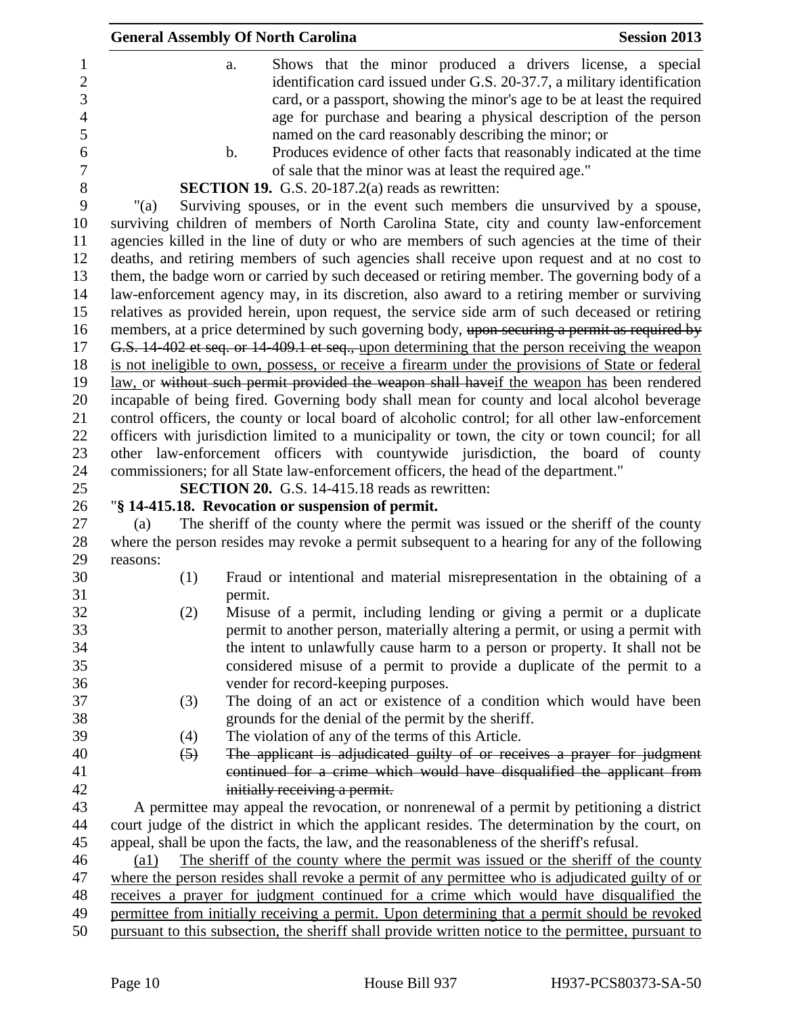| <b>General Assembly Of North Carolina</b>                                                                                                                                                                                                                                                                                                              | <b>Session 2013</b> |
|--------------------------------------------------------------------------------------------------------------------------------------------------------------------------------------------------------------------------------------------------------------------------------------------------------------------------------------------------------|---------------------|
| Shows that the minor produced a drivers license, a special<br>a.<br>identification card issued under G.S. 20-37.7, a military identification<br>card, or a passport, showing the minor's age to be at least the required<br>age for purchase and bearing a physical description of the person<br>named on the card reasonably describing the minor; or |                     |
| Produces evidence of other facts that reasonably indicated at the time<br>$\mathbf b$ .<br>of sale that the minor was at least the required age."                                                                                                                                                                                                      |                     |
| <b>SECTION 19.</b> G.S. 20-187.2(a) reads as rewritten:                                                                                                                                                                                                                                                                                                |                     |
| Surviving spouses, or in the event such members die unsurvived by a spouse,<br>" $(a)$                                                                                                                                                                                                                                                                 |                     |
| surviving children of members of North Carolina State, city and county law-enforcement                                                                                                                                                                                                                                                                 |                     |
| agencies killed in the line of duty or who are members of such agencies at the time of their                                                                                                                                                                                                                                                           |                     |
| deaths, and retiring members of such agencies shall receive upon request and at no cost to                                                                                                                                                                                                                                                             |                     |
| them, the badge worn or carried by such deceased or retiring member. The governing body of a<br>law-enforcement agency may, in its discretion, also award to a retiring member or surviving                                                                                                                                                            |                     |
| relatives as provided herein, upon request, the service side arm of such deceased or retiring                                                                                                                                                                                                                                                          |                     |
| members, at a price determined by such governing body, upon securing a permit as required by                                                                                                                                                                                                                                                           |                     |
| G.S. 14 402 et seq. or 14 409.1 et seq., upon determining that the person receiving the weapon                                                                                                                                                                                                                                                         |                     |
| is not ineligible to own, possess, or receive a firearm under the provisions of State or federal                                                                                                                                                                                                                                                       |                     |
| law, or without such permit provided the weapon shall haveif the weapon has been rendered                                                                                                                                                                                                                                                              |                     |
| incapable of being fired. Governing body shall mean for county and local alcohol beverage                                                                                                                                                                                                                                                              |                     |
| control officers, the county or local board of alcoholic control; for all other law-enforcement                                                                                                                                                                                                                                                        |                     |
| officers with jurisdiction limited to a municipality or town, the city or town council; for all                                                                                                                                                                                                                                                        |                     |
| other law-enforcement officers with countywide jurisdiction, the board of county                                                                                                                                                                                                                                                                       |                     |
| commissioners; for all State law-enforcement officers, the head of the department."                                                                                                                                                                                                                                                                    |                     |
| <b>SECTION 20.</b> G.S. 14-415.18 reads as rewritten:                                                                                                                                                                                                                                                                                                  |                     |
| "§ 14-415.18. Revocation or suspension of permit.                                                                                                                                                                                                                                                                                                      |                     |
| The sheriff of the county where the permit was issued or the sheriff of the county<br>(a)                                                                                                                                                                                                                                                              |                     |
| where the person resides may revoke a permit subsequent to a hearing for any of the following<br>reasons:                                                                                                                                                                                                                                              |                     |
| Fraud or intentional and material misrepresentation in the obtaining of a<br>(1)                                                                                                                                                                                                                                                                       |                     |
| permit.                                                                                                                                                                                                                                                                                                                                                |                     |
| (2)<br>Misuse of a permit, including lending or giving a permit or a duplicate                                                                                                                                                                                                                                                                         |                     |
| permit to another person, materially altering a permit, or using a permit with                                                                                                                                                                                                                                                                         |                     |
| the intent to unlawfully cause harm to a person or property. It shall not be                                                                                                                                                                                                                                                                           |                     |
| considered misuse of a permit to provide a duplicate of the permit to a                                                                                                                                                                                                                                                                                |                     |
| vender for record-keeping purposes.                                                                                                                                                                                                                                                                                                                    |                     |
| The doing of an act or existence of a condition which would have been<br>(3)                                                                                                                                                                                                                                                                           |                     |
| grounds for the denial of the permit by the sheriff.                                                                                                                                                                                                                                                                                                   |                     |
| The violation of any of the terms of this Article.<br>(4)                                                                                                                                                                                                                                                                                              |                     |
| The applicant is adjudicated guilty of or receives a prayer for judgment<br>$\left(5\right)$                                                                                                                                                                                                                                                           |                     |
| continued for a crime which would have disqualified the applicant from                                                                                                                                                                                                                                                                                 |                     |
| initially receiving a permit.                                                                                                                                                                                                                                                                                                                          |                     |
| A permittee may appeal the revocation, or nonrenewal of a permit by petitioning a district                                                                                                                                                                                                                                                             |                     |
| court judge of the district in which the applicant resides. The determination by the court, on<br>appeal, shall be upon the facts, the law, and the reasonableness of the sheriff's refusal.                                                                                                                                                           |                     |
| The sheriff of the county where the permit was issued or the sheriff of the county<br>$\left( a1\right)$                                                                                                                                                                                                                                               |                     |
| where the person resides shall revoke a permit of any permittee who is adjudicated guilty of or                                                                                                                                                                                                                                                        |                     |
| receives a prayer for judgment continued for a crime which would have disqualified the                                                                                                                                                                                                                                                                 |                     |
| permittee from initially receiving a permit. Upon determining that a permit should be revoked                                                                                                                                                                                                                                                          |                     |
| pursuant to this subsection, the sheriff shall provide written notice to the permittee, pursuant to                                                                                                                                                                                                                                                    |                     |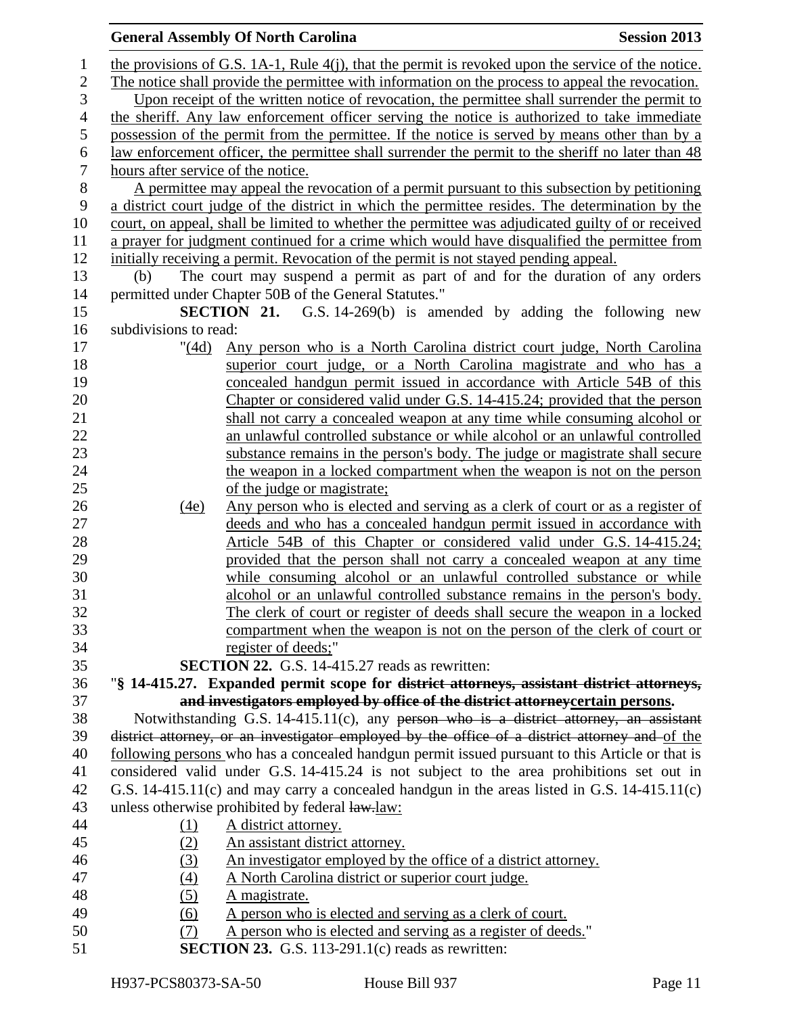| 1                |                                    | the provisions of G.S. 1A-1, Rule $4(j)$ , that the permit is revoked upon the service of the notice. |
|------------------|------------------------------------|-------------------------------------------------------------------------------------------------------|
| $\mathbf{2}$     |                                    | The notice shall provide the permittee with information on the process to appeal the revocation.      |
| 3                |                                    | Upon receipt of the written notice of revocation, the permittee shall surrender the permit to         |
| $\overline{4}$   |                                    | the sheriff. Any law enforcement officer serving the notice is authorized to take immediate           |
| 5                |                                    | possession of the permit from the permittee. If the notice is served by means other than by a         |
| 6                |                                    | law enforcement officer, the permittee shall surrender the permit to the sheriff no later than 48     |
| $\tau$           | hours after service of the notice. |                                                                                                       |
| $8\,$            |                                    | A permittee may appeal the revocation of a permit pursuant to this subsection by petitioning          |
| $\boldsymbol{9}$ |                                    | a district court judge of the district in which the permittee resides. The determination by the       |
| 10               |                                    | court, on appeal, shall be limited to whether the permittee was adjudicated guilty of or received     |
| 11               |                                    | a prayer for judgment continued for a crime which would have disqualified the permittee from          |
| 12               |                                    | initially receiving a permit. Revocation of the permit is not stayed pending appeal.                  |
| 13               | (b)                                | The court may suspend a permit as part of and for the duration of any orders                          |
| 14               |                                    | permitted under Chapter 50B of the General Statutes."                                                 |
| 15               |                                    | <b>SECTION 21.</b> G.S. 14-269(b) is amended by adding the following new                              |
| 16               | subdivisions to read:              |                                                                                                       |
| 17               | " $(4d)$                           | Any person who is a North Carolina district court judge, North Carolina                               |
| 18               |                                    | superior court judge, or a North Carolina magistrate and who has a                                    |
| 19               |                                    | concealed handgun permit issued in accordance with Article 54B of this                                |
| 20               |                                    | Chapter or considered valid under G.S. 14-415.24; provided that the person                            |
| 21               |                                    | shall not carry a concealed weapon at any time while consuming alcohol or                             |
| 22               |                                    | an unlawful controlled substance or while alcohol or an unlawful controlled                           |
| 23               |                                    | substance remains in the person's body. The judge or magistrate shall secure                          |
| 24               |                                    | the weapon in a locked compartment when the weapon is not on the person                               |
| 25               |                                    | of the judge or magistrate;                                                                           |
| 26               | (4e)                               | <u>Any person who is elected and serving as a clerk of court or as a register of</u>                  |
| 27               |                                    | deeds and who has a concealed handgun permit issued in accordance with                                |
| 28               |                                    | Article 54B of this Chapter or considered valid under G.S. 14-415.24;                                 |
| 29               |                                    | provided that the person shall not carry a concealed weapon at any time                               |
| 30               |                                    | while consuming alcohol or an unlawful controlled substance or while                                  |
| 31               |                                    | alcohol or an unlawful controlled substance remains in the person's body.                             |
| 32               |                                    | The clerk of court or register of deeds shall secure the weapon in a locked                           |
| 33               |                                    | compartment when the weapon is not on the person of the clerk of court or                             |
| 34               |                                    | register of deeds;"                                                                                   |
| 35               |                                    | <b>SECTION 22.</b> G.S. 14-415.27 reads as rewritten:                                                 |
| 36               |                                    | "§ 14-415.27. Expanded permit scope for district attorneys, assistant district attorneys,             |
| 37               |                                    | and investigators employed by office of the district attorney certain persons.                        |
| 38               |                                    | Notwithstanding G.S. 14-415.11(c), any person who is a district attorney, an assistant                |
| 39               |                                    | district attorney, or an investigator employed by the office of a district attorney and of the        |
| 40               |                                    | following persons who has a concealed handgun permit issued pursuant to this Article or that is       |
| 41               |                                    | considered valid under G.S. 14-415.24 is not subject to the area prohibitions set out in              |
| 42               |                                    | G.S. 14-415.11(c) and may carry a concealed handgun in the areas listed in G.S. 14-415.11(c)          |
| 43               |                                    | unless otherwise prohibited by federal law-law:                                                       |
| 44               | (1)                                | A district attorney.                                                                                  |
| 45               | (2)                                | An assistant district attorney.                                                                       |
| 46               | (3)                                | An investigator employed by the office of a district attorney.                                        |
| 47               | (4)                                | A North Carolina district or superior court judge.                                                    |
| 48               | (5)                                | A magistrate.                                                                                         |
| 49               | (6)                                | A person who is elected and serving as a clerk of court.                                              |
| 50               | (7)                                | A person who is elected and serving as a register of deeds."                                          |
| 51               |                                    | <b>SECTION 23.</b> G.S. 113-291.1 $(c)$ reads as rewritten:                                           |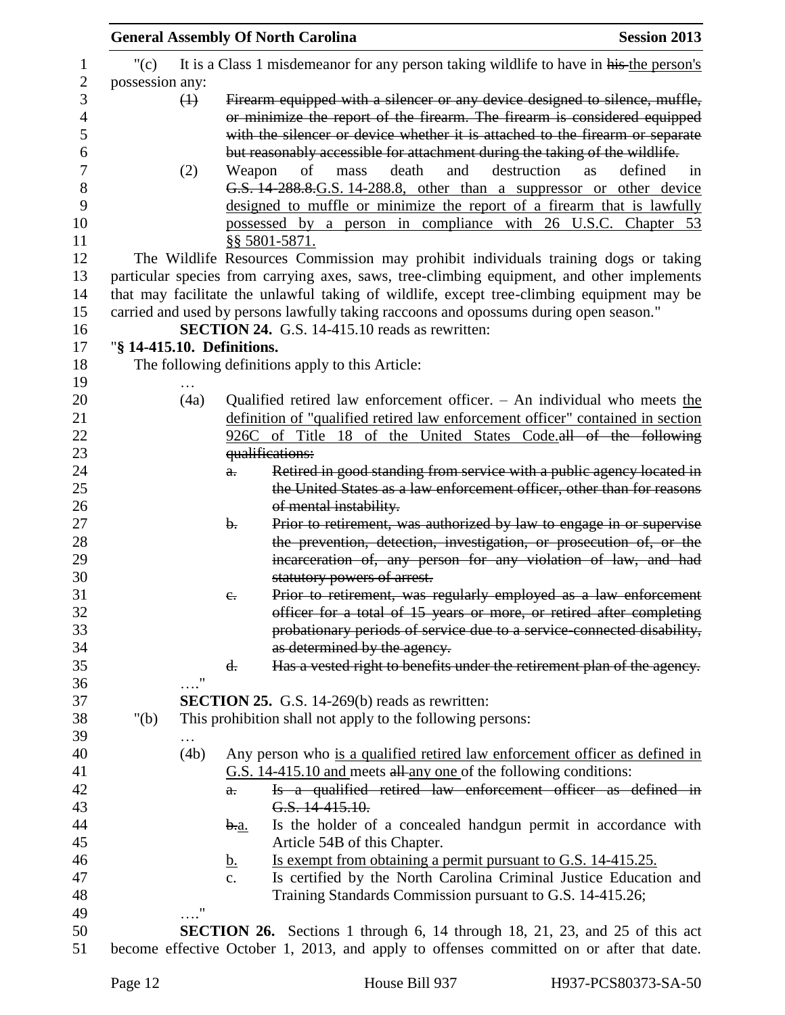| It is a Class 1 misdemeanor for any person taking wildlife to have in his the person's<br>" $(c)$<br>possession any:<br>Firearm equipped with a silencer or any device designed to silence, muffle,<br>$\leftrightarrow$<br>or minimize the report of the firearm. The firearm is considered equipped<br>with the silencer or device whether it is attached to the firearm or separate<br>but reasonably accessible for attachment during the taking of the wildlife.<br>death<br>destruction<br>defined<br>(2)<br>and<br>Weapon<br>of<br>mass<br>as<br>1n<br>G.S. 14-288.8. G.S. 14-288.8, other than a suppressor or other device<br>designed to muffle or minimize the report of a firearm that is lawfully<br>possessed by a person in compliance with 26 U.S.C. Chapter 53<br>§§ 5801-5871.<br>The Wildlife Resources Commission may prohibit individuals training dogs or taking<br>particular species from carrying axes, saws, tree-climbing equipment, and other implements<br>that may facilitate the unlawful taking of wildlife, except tree-climbing equipment may be<br>carried and used by persons lawfully taking raccoons and opossums during open season."<br><b>SECTION 24.</b> G.S. 14-415.10 reads as rewritten:<br>"§ 14-415.10. Definitions.<br>The following definitions apply to this Article:<br>(4a)<br>Qualified retired law enforcement officer. $-$ An individual who meets the<br>definition of "qualified retired law enforcement officer" contained in section<br>926C of Title 18 of the United States Code.all of the following<br>qualifications:<br>Retired in good standing from service with a public agency located in<br>a.<br>the United States as a law enforcement officer, other than for reasons<br>of mental instability.<br>Prior to retirement, was authorized by law to engage in or supervise<br>$\mathbf{b}$ .<br>the prevention, detection, investigation, or prosecution of, or the<br>incarceration of, any person for any violation of law, and had<br>statutory powers of arrest.<br>Prior to retirement, was regularly employed as a law enforcement<br>$e_{\cdot}$<br>officer for a total of 15 years or more, or retired after completing<br>probationary periods of service due to a service-connected disability,<br>as determined by the agency.<br>Has a vested right to benefits under the retirement plan of the agency.<br>d.<br>$\ldots$ "<br><b>SECTION 25.</b> G.S. 14-269(b) reads as rewritten:<br>" $(b)$<br>This prohibition shall not apply to the following persons:<br>(4b)<br>Any person who is a qualified retired law enforcement officer as defined in<br>G.S. 14-415.10 and meets all any one of the following conditions:<br>Is a qualified retired law enforcement officer as defined in<br>$a$ .<br>G.S. 14-415.10.<br>Is the holder of a concealed handgun permit in accordance with<br><u>b.a.</u><br>Article 54B of this Chapter.<br>Is exempt from obtaining a permit pursuant to G.S. 14-415.25.<br><u>b.</u><br>Is certified by the North Carolina Criminal Justice Education and<br>c.<br>Training Standards Commission pursuant to G.S. 14-415.26;<br>$^{\prime\prime}$<br><b>SECTION 26.</b> Sections 1 through 6, 14 through 18, 21, 23, and 25 of this act |  | <b>General Assembly Of North Carolina</b> | <b>Session 2013</b> |
|------------------------------------------------------------------------------------------------------------------------------------------------------------------------------------------------------------------------------------------------------------------------------------------------------------------------------------------------------------------------------------------------------------------------------------------------------------------------------------------------------------------------------------------------------------------------------------------------------------------------------------------------------------------------------------------------------------------------------------------------------------------------------------------------------------------------------------------------------------------------------------------------------------------------------------------------------------------------------------------------------------------------------------------------------------------------------------------------------------------------------------------------------------------------------------------------------------------------------------------------------------------------------------------------------------------------------------------------------------------------------------------------------------------------------------------------------------------------------------------------------------------------------------------------------------------------------------------------------------------------------------------------------------------------------------------------------------------------------------------------------------------------------------------------------------------------------------------------------------------------------------------------------------------------------------------------------------------------------------------------------------------------------------------------------------------------------------------------------------------------------------------------------------------------------------------------------------------------------------------------------------------------------------------------------------------------------------------------------------------------------------------------------------------------------------------------------------------------------------------------------------------------------------------------------------------------------------------------------------------------------------------------------------------------------------------------------------------------------------------------------------------------------------------------------------------------------------------------------------------------------------------------------------------------------------------------------------------------------------------------------------------------------------------------------------------------------------------------------------------------------------------------------------------------------------------------------------------------------------------------------------|--|-------------------------------------------|---------------------|
|                                                                                                                                                                                                                                                                                                                                                                                                                                                                                                                                                                                                                                                                                                                                                                                                                                                                                                                                                                                                                                                                                                                                                                                                                                                                                                                                                                                                                                                                                                                                                                                                                                                                                                                                                                                                                                                                                                                                                                                                                                                                                                                                                                                                                                                                                                                                                                                                                                                                                                                                                                                                                                                                                                                                                                                                                                                                                                                                                                                                                                                                                                                                                                                                                                                            |  |                                           |                     |
|                                                                                                                                                                                                                                                                                                                                                                                                                                                                                                                                                                                                                                                                                                                                                                                                                                                                                                                                                                                                                                                                                                                                                                                                                                                                                                                                                                                                                                                                                                                                                                                                                                                                                                                                                                                                                                                                                                                                                                                                                                                                                                                                                                                                                                                                                                                                                                                                                                                                                                                                                                                                                                                                                                                                                                                                                                                                                                                                                                                                                                                                                                                                                                                                                                                            |  |                                           |                     |
|                                                                                                                                                                                                                                                                                                                                                                                                                                                                                                                                                                                                                                                                                                                                                                                                                                                                                                                                                                                                                                                                                                                                                                                                                                                                                                                                                                                                                                                                                                                                                                                                                                                                                                                                                                                                                                                                                                                                                                                                                                                                                                                                                                                                                                                                                                                                                                                                                                                                                                                                                                                                                                                                                                                                                                                                                                                                                                                                                                                                                                                                                                                                                                                                                                                            |  |                                           |                     |
|                                                                                                                                                                                                                                                                                                                                                                                                                                                                                                                                                                                                                                                                                                                                                                                                                                                                                                                                                                                                                                                                                                                                                                                                                                                                                                                                                                                                                                                                                                                                                                                                                                                                                                                                                                                                                                                                                                                                                                                                                                                                                                                                                                                                                                                                                                                                                                                                                                                                                                                                                                                                                                                                                                                                                                                                                                                                                                                                                                                                                                                                                                                                                                                                                                                            |  |                                           |                     |
|                                                                                                                                                                                                                                                                                                                                                                                                                                                                                                                                                                                                                                                                                                                                                                                                                                                                                                                                                                                                                                                                                                                                                                                                                                                                                                                                                                                                                                                                                                                                                                                                                                                                                                                                                                                                                                                                                                                                                                                                                                                                                                                                                                                                                                                                                                                                                                                                                                                                                                                                                                                                                                                                                                                                                                                                                                                                                                                                                                                                                                                                                                                                                                                                                                                            |  |                                           |                     |
|                                                                                                                                                                                                                                                                                                                                                                                                                                                                                                                                                                                                                                                                                                                                                                                                                                                                                                                                                                                                                                                                                                                                                                                                                                                                                                                                                                                                                                                                                                                                                                                                                                                                                                                                                                                                                                                                                                                                                                                                                                                                                                                                                                                                                                                                                                                                                                                                                                                                                                                                                                                                                                                                                                                                                                                                                                                                                                                                                                                                                                                                                                                                                                                                                                                            |  |                                           |                     |
|                                                                                                                                                                                                                                                                                                                                                                                                                                                                                                                                                                                                                                                                                                                                                                                                                                                                                                                                                                                                                                                                                                                                                                                                                                                                                                                                                                                                                                                                                                                                                                                                                                                                                                                                                                                                                                                                                                                                                                                                                                                                                                                                                                                                                                                                                                                                                                                                                                                                                                                                                                                                                                                                                                                                                                                                                                                                                                                                                                                                                                                                                                                                                                                                                                                            |  |                                           |                     |
|                                                                                                                                                                                                                                                                                                                                                                                                                                                                                                                                                                                                                                                                                                                                                                                                                                                                                                                                                                                                                                                                                                                                                                                                                                                                                                                                                                                                                                                                                                                                                                                                                                                                                                                                                                                                                                                                                                                                                                                                                                                                                                                                                                                                                                                                                                                                                                                                                                                                                                                                                                                                                                                                                                                                                                                                                                                                                                                                                                                                                                                                                                                                                                                                                                                            |  |                                           |                     |
|                                                                                                                                                                                                                                                                                                                                                                                                                                                                                                                                                                                                                                                                                                                                                                                                                                                                                                                                                                                                                                                                                                                                                                                                                                                                                                                                                                                                                                                                                                                                                                                                                                                                                                                                                                                                                                                                                                                                                                                                                                                                                                                                                                                                                                                                                                                                                                                                                                                                                                                                                                                                                                                                                                                                                                                                                                                                                                                                                                                                                                                                                                                                                                                                                                                            |  |                                           |                     |
|                                                                                                                                                                                                                                                                                                                                                                                                                                                                                                                                                                                                                                                                                                                                                                                                                                                                                                                                                                                                                                                                                                                                                                                                                                                                                                                                                                                                                                                                                                                                                                                                                                                                                                                                                                                                                                                                                                                                                                                                                                                                                                                                                                                                                                                                                                                                                                                                                                                                                                                                                                                                                                                                                                                                                                                                                                                                                                                                                                                                                                                                                                                                                                                                                                                            |  |                                           |                     |
|                                                                                                                                                                                                                                                                                                                                                                                                                                                                                                                                                                                                                                                                                                                                                                                                                                                                                                                                                                                                                                                                                                                                                                                                                                                                                                                                                                                                                                                                                                                                                                                                                                                                                                                                                                                                                                                                                                                                                                                                                                                                                                                                                                                                                                                                                                                                                                                                                                                                                                                                                                                                                                                                                                                                                                                                                                                                                                                                                                                                                                                                                                                                                                                                                                                            |  |                                           |                     |
|                                                                                                                                                                                                                                                                                                                                                                                                                                                                                                                                                                                                                                                                                                                                                                                                                                                                                                                                                                                                                                                                                                                                                                                                                                                                                                                                                                                                                                                                                                                                                                                                                                                                                                                                                                                                                                                                                                                                                                                                                                                                                                                                                                                                                                                                                                                                                                                                                                                                                                                                                                                                                                                                                                                                                                                                                                                                                                                                                                                                                                                                                                                                                                                                                                                            |  |                                           |                     |
|                                                                                                                                                                                                                                                                                                                                                                                                                                                                                                                                                                                                                                                                                                                                                                                                                                                                                                                                                                                                                                                                                                                                                                                                                                                                                                                                                                                                                                                                                                                                                                                                                                                                                                                                                                                                                                                                                                                                                                                                                                                                                                                                                                                                                                                                                                                                                                                                                                                                                                                                                                                                                                                                                                                                                                                                                                                                                                                                                                                                                                                                                                                                                                                                                                                            |  |                                           |                     |
|                                                                                                                                                                                                                                                                                                                                                                                                                                                                                                                                                                                                                                                                                                                                                                                                                                                                                                                                                                                                                                                                                                                                                                                                                                                                                                                                                                                                                                                                                                                                                                                                                                                                                                                                                                                                                                                                                                                                                                                                                                                                                                                                                                                                                                                                                                                                                                                                                                                                                                                                                                                                                                                                                                                                                                                                                                                                                                                                                                                                                                                                                                                                                                                                                                                            |  |                                           |                     |
|                                                                                                                                                                                                                                                                                                                                                                                                                                                                                                                                                                                                                                                                                                                                                                                                                                                                                                                                                                                                                                                                                                                                                                                                                                                                                                                                                                                                                                                                                                                                                                                                                                                                                                                                                                                                                                                                                                                                                                                                                                                                                                                                                                                                                                                                                                                                                                                                                                                                                                                                                                                                                                                                                                                                                                                                                                                                                                                                                                                                                                                                                                                                                                                                                                                            |  |                                           |                     |
|                                                                                                                                                                                                                                                                                                                                                                                                                                                                                                                                                                                                                                                                                                                                                                                                                                                                                                                                                                                                                                                                                                                                                                                                                                                                                                                                                                                                                                                                                                                                                                                                                                                                                                                                                                                                                                                                                                                                                                                                                                                                                                                                                                                                                                                                                                                                                                                                                                                                                                                                                                                                                                                                                                                                                                                                                                                                                                                                                                                                                                                                                                                                                                                                                                                            |  |                                           |                     |
|                                                                                                                                                                                                                                                                                                                                                                                                                                                                                                                                                                                                                                                                                                                                                                                                                                                                                                                                                                                                                                                                                                                                                                                                                                                                                                                                                                                                                                                                                                                                                                                                                                                                                                                                                                                                                                                                                                                                                                                                                                                                                                                                                                                                                                                                                                                                                                                                                                                                                                                                                                                                                                                                                                                                                                                                                                                                                                                                                                                                                                                                                                                                                                                                                                                            |  |                                           |                     |
|                                                                                                                                                                                                                                                                                                                                                                                                                                                                                                                                                                                                                                                                                                                                                                                                                                                                                                                                                                                                                                                                                                                                                                                                                                                                                                                                                                                                                                                                                                                                                                                                                                                                                                                                                                                                                                                                                                                                                                                                                                                                                                                                                                                                                                                                                                                                                                                                                                                                                                                                                                                                                                                                                                                                                                                                                                                                                                                                                                                                                                                                                                                                                                                                                                                            |  |                                           |                     |
|                                                                                                                                                                                                                                                                                                                                                                                                                                                                                                                                                                                                                                                                                                                                                                                                                                                                                                                                                                                                                                                                                                                                                                                                                                                                                                                                                                                                                                                                                                                                                                                                                                                                                                                                                                                                                                                                                                                                                                                                                                                                                                                                                                                                                                                                                                                                                                                                                                                                                                                                                                                                                                                                                                                                                                                                                                                                                                                                                                                                                                                                                                                                                                                                                                                            |  |                                           |                     |
|                                                                                                                                                                                                                                                                                                                                                                                                                                                                                                                                                                                                                                                                                                                                                                                                                                                                                                                                                                                                                                                                                                                                                                                                                                                                                                                                                                                                                                                                                                                                                                                                                                                                                                                                                                                                                                                                                                                                                                                                                                                                                                                                                                                                                                                                                                                                                                                                                                                                                                                                                                                                                                                                                                                                                                                                                                                                                                                                                                                                                                                                                                                                                                                                                                                            |  |                                           |                     |
|                                                                                                                                                                                                                                                                                                                                                                                                                                                                                                                                                                                                                                                                                                                                                                                                                                                                                                                                                                                                                                                                                                                                                                                                                                                                                                                                                                                                                                                                                                                                                                                                                                                                                                                                                                                                                                                                                                                                                                                                                                                                                                                                                                                                                                                                                                                                                                                                                                                                                                                                                                                                                                                                                                                                                                                                                                                                                                                                                                                                                                                                                                                                                                                                                                                            |  |                                           |                     |
|                                                                                                                                                                                                                                                                                                                                                                                                                                                                                                                                                                                                                                                                                                                                                                                                                                                                                                                                                                                                                                                                                                                                                                                                                                                                                                                                                                                                                                                                                                                                                                                                                                                                                                                                                                                                                                                                                                                                                                                                                                                                                                                                                                                                                                                                                                                                                                                                                                                                                                                                                                                                                                                                                                                                                                                                                                                                                                                                                                                                                                                                                                                                                                                                                                                            |  |                                           |                     |
|                                                                                                                                                                                                                                                                                                                                                                                                                                                                                                                                                                                                                                                                                                                                                                                                                                                                                                                                                                                                                                                                                                                                                                                                                                                                                                                                                                                                                                                                                                                                                                                                                                                                                                                                                                                                                                                                                                                                                                                                                                                                                                                                                                                                                                                                                                                                                                                                                                                                                                                                                                                                                                                                                                                                                                                                                                                                                                                                                                                                                                                                                                                                                                                                                                                            |  |                                           |                     |
|                                                                                                                                                                                                                                                                                                                                                                                                                                                                                                                                                                                                                                                                                                                                                                                                                                                                                                                                                                                                                                                                                                                                                                                                                                                                                                                                                                                                                                                                                                                                                                                                                                                                                                                                                                                                                                                                                                                                                                                                                                                                                                                                                                                                                                                                                                                                                                                                                                                                                                                                                                                                                                                                                                                                                                                                                                                                                                                                                                                                                                                                                                                                                                                                                                                            |  |                                           |                     |
|                                                                                                                                                                                                                                                                                                                                                                                                                                                                                                                                                                                                                                                                                                                                                                                                                                                                                                                                                                                                                                                                                                                                                                                                                                                                                                                                                                                                                                                                                                                                                                                                                                                                                                                                                                                                                                                                                                                                                                                                                                                                                                                                                                                                                                                                                                                                                                                                                                                                                                                                                                                                                                                                                                                                                                                                                                                                                                                                                                                                                                                                                                                                                                                                                                                            |  |                                           |                     |
|                                                                                                                                                                                                                                                                                                                                                                                                                                                                                                                                                                                                                                                                                                                                                                                                                                                                                                                                                                                                                                                                                                                                                                                                                                                                                                                                                                                                                                                                                                                                                                                                                                                                                                                                                                                                                                                                                                                                                                                                                                                                                                                                                                                                                                                                                                                                                                                                                                                                                                                                                                                                                                                                                                                                                                                                                                                                                                                                                                                                                                                                                                                                                                                                                                                            |  |                                           |                     |
|                                                                                                                                                                                                                                                                                                                                                                                                                                                                                                                                                                                                                                                                                                                                                                                                                                                                                                                                                                                                                                                                                                                                                                                                                                                                                                                                                                                                                                                                                                                                                                                                                                                                                                                                                                                                                                                                                                                                                                                                                                                                                                                                                                                                                                                                                                                                                                                                                                                                                                                                                                                                                                                                                                                                                                                                                                                                                                                                                                                                                                                                                                                                                                                                                                                            |  |                                           |                     |
|                                                                                                                                                                                                                                                                                                                                                                                                                                                                                                                                                                                                                                                                                                                                                                                                                                                                                                                                                                                                                                                                                                                                                                                                                                                                                                                                                                                                                                                                                                                                                                                                                                                                                                                                                                                                                                                                                                                                                                                                                                                                                                                                                                                                                                                                                                                                                                                                                                                                                                                                                                                                                                                                                                                                                                                                                                                                                                                                                                                                                                                                                                                                                                                                                                                            |  |                                           |                     |
|                                                                                                                                                                                                                                                                                                                                                                                                                                                                                                                                                                                                                                                                                                                                                                                                                                                                                                                                                                                                                                                                                                                                                                                                                                                                                                                                                                                                                                                                                                                                                                                                                                                                                                                                                                                                                                                                                                                                                                                                                                                                                                                                                                                                                                                                                                                                                                                                                                                                                                                                                                                                                                                                                                                                                                                                                                                                                                                                                                                                                                                                                                                                                                                                                                                            |  |                                           |                     |
|                                                                                                                                                                                                                                                                                                                                                                                                                                                                                                                                                                                                                                                                                                                                                                                                                                                                                                                                                                                                                                                                                                                                                                                                                                                                                                                                                                                                                                                                                                                                                                                                                                                                                                                                                                                                                                                                                                                                                                                                                                                                                                                                                                                                                                                                                                                                                                                                                                                                                                                                                                                                                                                                                                                                                                                                                                                                                                                                                                                                                                                                                                                                                                                                                                                            |  |                                           |                     |
|                                                                                                                                                                                                                                                                                                                                                                                                                                                                                                                                                                                                                                                                                                                                                                                                                                                                                                                                                                                                                                                                                                                                                                                                                                                                                                                                                                                                                                                                                                                                                                                                                                                                                                                                                                                                                                                                                                                                                                                                                                                                                                                                                                                                                                                                                                                                                                                                                                                                                                                                                                                                                                                                                                                                                                                                                                                                                                                                                                                                                                                                                                                                                                                                                                                            |  |                                           |                     |
|                                                                                                                                                                                                                                                                                                                                                                                                                                                                                                                                                                                                                                                                                                                                                                                                                                                                                                                                                                                                                                                                                                                                                                                                                                                                                                                                                                                                                                                                                                                                                                                                                                                                                                                                                                                                                                                                                                                                                                                                                                                                                                                                                                                                                                                                                                                                                                                                                                                                                                                                                                                                                                                                                                                                                                                                                                                                                                                                                                                                                                                                                                                                                                                                                                                            |  |                                           |                     |
|                                                                                                                                                                                                                                                                                                                                                                                                                                                                                                                                                                                                                                                                                                                                                                                                                                                                                                                                                                                                                                                                                                                                                                                                                                                                                                                                                                                                                                                                                                                                                                                                                                                                                                                                                                                                                                                                                                                                                                                                                                                                                                                                                                                                                                                                                                                                                                                                                                                                                                                                                                                                                                                                                                                                                                                                                                                                                                                                                                                                                                                                                                                                                                                                                                                            |  |                                           |                     |
|                                                                                                                                                                                                                                                                                                                                                                                                                                                                                                                                                                                                                                                                                                                                                                                                                                                                                                                                                                                                                                                                                                                                                                                                                                                                                                                                                                                                                                                                                                                                                                                                                                                                                                                                                                                                                                                                                                                                                                                                                                                                                                                                                                                                                                                                                                                                                                                                                                                                                                                                                                                                                                                                                                                                                                                                                                                                                                                                                                                                                                                                                                                                                                                                                                                            |  |                                           |                     |
|                                                                                                                                                                                                                                                                                                                                                                                                                                                                                                                                                                                                                                                                                                                                                                                                                                                                                                                                                                                                                                                                                                                                                                                                                                                                                                                                                                                                                                                                                                                                                                                                                                                                                                                                                                                                                                                                                                                                                                                                                                                                                                                                                                                                                                                                                                                                                                                                                                                                                                                                                                                                                                                                                                                                                                                                                                                                                                                                                                                                                                                                                                                                                                                                                                                            |  |                                           |                     |
|                                                                                                                                                                                                                                                                                                                                                                                                                                                                                                                                                                                                                                                                                                                                                                                                                                                                                                                                                                                                                                                                                                                                                                                                                                                                                                                                                                                                                                                                                                                                                                                                                                                                                                                                                                                                                                                                                                                                                                                                                                                                                                                                                                                                                                                                                                                                                                                                                                                                                                                                                                                                                                                                                                                                                                                                                                                                                                                                                                                                                                                                                                                                                                                                                                                            |  |                                           |                     |
|                                                                                                                                                                                                                                                                                                                                                                                                                                                                                                                                                                                                                                                                                                                                                                                                                                                                                                                                                                                                                                                                                                                                                                                                                                                                                                                                                                                                                                                                                                                                                                                                                                                                                                                                                                                                                                                                                                                                                                                                                                                                                                                                                                                                                                                                                                                                                                                                                                                                                                                                                                                                                                                                                                                                                                                                                                                                                                                                                                                                                                                                                                                                                                                                                                                            |  |                                           |                     |
|                                                                                                                                                                                                                                                                                                                                                                                                                                                                                                                                                                                                                                                                                                                                                                                                                                                                                                                                                                                                                                                                                                                                                                                                                                                                                                                                                                                                                                                                                                                                                                                                                                                                                                                                                                                                                                                                                                                                                                                                                                                                                                                                                                                                                                                                                                                                                                                                                                                                                                                                                                                                                                                                                                                                                                                                                                                                                                                                                                                                                                                                                                                                                                                                                                                            |  |                                           |                     |
|                                                                                                                                                                                                                                                                                                                                                                                                                                                                                                                                                                                                                                                                                                                                                                                                                                                                                                                                                                                                                                                                                                                                                                                                                                                                                                                                                                                                                                                                                                                                                                                                                                                                                                                                                                                                                                                                                                                                                                                                                                                                                                                                                                                                                                                                                                                                                                                                                                                                                                                                                                                                                                                                                                                                                                                                                                                                                                                                                                                                                                                                                                                                                                                                                                                            |  |                                           |                     |
|                                                                                                                                                                                                                                                                                                                                                                                                                                                                                                                                                                                                                                                                                                                                                                                                                                                                                                                                                                                                                                                                                                                                                                                                                                                                                                                                                                                                                                                                                                                                                                                                                                                                                                                                                                                                                                                                                                                                                                                                                                                                                                                                                                                                                                                                                                                                                                                                                                                                                                                                                                                                                                                                                                                                                                                                                                                                                                                                                                                                                                                                                                                                                                                                                                                            |  |                                           |                     |
|                                                                                                                                                                                                                                                                                                                                                                                                                                                                                                                                                                                                                                                                                                                                                                                                                                                                                                                                                                                                                                                                                                                                                                                                                                                                                                                                                                                                                                                                                                                                                                                                                                                                                                                                                                                                                                                                                                                                                                                                                                                                                                                                                                                                                                                                                                                                                                                                                                                                                                                                                                                                                                                                                                                                                                                                                                                                                                                                                                                                                                                                                                                                                                                                                                                            |  |                                           |                     |
|                                                                                                                                                                                                                                                                                                                                                                                                                                                                                                                                                                                                                                                                                                                                                                                                                                                                                                                                                                                                                                                                                                                                                                                                                                                                                                                                                                                                                                                                                                                                                                                                                                                                                                                                                                                                                                                                                                                                                                                                                                                                                                                                                                                                                                                                                                                                                                                                                                                                                                                                                                                                                                                                                                                                                                                                                                                                                                                                                                                                                                                                                                                                                                                                                                                            |  |                                           |                     |
|                                                                                                                                                                                                                                                                                                                                                                                                                                                                                                                                                                                                                                                                                                                                                                                                                                                                                                                                                                                                                                                                                                                                                                                                                                                                                                                                                                                                                                                                                                                                                                                                                                                                                                                                                                                                                                                                                                                                                                                                                                                                                                                                                                                                                                                                                                                                                                                                                                                                                                                                                                                                                                                                                                                                                                                                                                                                                                                                                                                                                                                                                                                                                                                                                                                            |  |                                           |                     |
|                                                                                                                                                                                                                                                                                                                                                                                                                                                                                                                                                                                                                                                                                                                                                                                                                                                                                                                                                                                                                                                                                                                                                                                                                                                                                                                                                                                                                                                                                                                                                                                                                                                                                                                                                                                                                                                                                                                                                                                                                                                                                                                                                                                                                                                                                                                                                                                                                                                                                                                                                                                                                                                                                                                                                                                                                                                                                                                                                                                                                                                                                                                                                                                                                                                            |  |                                           |                     |
|                                                                                                                                                                                                                                                                                                                                                                                                                                                                                                                                                                                                                                                                                                                                                                                                                                                                                                                                                                                                                                                                                                                                                                                                                                                                                                                                                                                                                                                                                                                                                                                                                                                                                                                                                                                                                                                                                                                                                                                                                                                                                                                                                                                                                                                                                                                                                                                                                                                                                                                                                                                                                                                                                                                                                                                                                                                                                                                                                                                                                                                                                                                                                                                                                                                            |  |                                           |                     |
|                                                                                                                                                                                                                                                                                                                                                                                                                                                                                                                                                                                                                                                                                                                                                                                                                                                                                                                                                                                                                                                                                                                                                                                                                                                                                                                                                                                                                                                                                                                                                                                                                                                                                                                                                                                                                                                                                                                                                                                                                                                                                                                                                                                                                                                                                                                                                                                                                                                                                                                                                                                                                                                                                                                                                                                                                                                                                                                                                                                                                                                                                                                                                                                                                                                            |  |                                           |                     |
|                                                                                                                                                                                                                                                                                                                                                                                                                                                                                                                                                                                                                                                                                                                                                                                                                                                                                                                                                                                                                                                                                                                                                                                                                                                                                                                                                                                                                                                                                                                                                                                                                                                                                                                                                                                                                                                                                                                                                                                                                                                                                                                                                                                                                                                                                                                                                                                                                                                                                                                                                                                                                                                                                                                                                                                                                                                                                                                                                                                                                                                                                                                                                                                                                                                            |  |                                           |                     |
|                                                                                                                                                                                                                                                                                                                                                                                                                                                                                                                                                                                                                                                                                                                                                                                                                                                                                                                                                                                                                                                                                                                                                                                                                                                                                                                                                                                                                                                                                                                                                                                                                                                                                                                                                                                                                                                                                                                                                                                                                                                                                                                                                                                                                                                                                                                                                                                                                                                                                                                                                                                                                                                                                                                                                                                                                                                                                                                                                                                                                                                                                                                                                                                                                                                            |  |                                           |                     |
|                                                                                                                                                                                                                                                                                                                                                                                                                                                                                                                                                                                                                                                                                                                                                                                                                                                                                                                                                                                                                                                                                                                                                                                                                                                                                                                                                                                                                                                                                                                                                                                                                                                                                                                                                                                                                                                                                                                                                                                                                                                                                                                                                                                                                                                                                                                                                                                                                                                                                                                                                                                                                                                                                                                                                                                                                                                                                                                                                                                                                                                                                                                                                                                                                                                            |  |                                           |                     |
|                                                                                                                                                                                                                                                                                                                                                                                                                                                                                                                                                                                                                                                                                                                                                                                                                                                                                                                                                                                                                                                                                                                                                                                                                                                                                                                                                                                                                                                                                                                                                                                                                                                                                                                                                                                                                                                                                                                                                                                                                                                                                                                                                                                                                                                                                                                                                                                                                                                                                                                                                                                                                                                                                                                                                                                                                                                                                                                                                                                                                                                                                                                                                                                                                                                            |  |                                           |                     |
| become effective October 1, 2013, and apply to offenses committed on or after that date.                                                                                                                                                                                                                                                                                                                                                                                                                                                                                                                                                                                                                                                                                                                                                                                                                                                                                                                                                                                                                                                                                                                                                                                                                                                                                                                                                                                                                                                                                                                                                                                                                                                                                                                                                                                                                                                                                                                                                                                                                                                                                                                                                                                                                                                                                                                                                                                                                                                                                                                                                                                                                                                                                                                                                                                                                                                                                                                                                                                                                                                                                                                                                                   |  |                                           |                     |